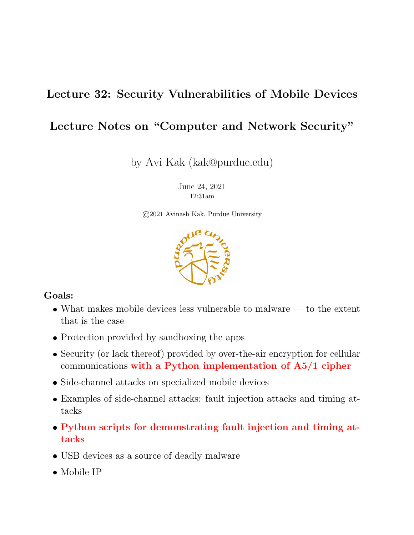#### Lecture 32: Security Vulnerabilities of Mobile Devices

#### Lecture Notes on "Computer and Network Security"

by Avi Kak (kak@purdue.edu)

June 24, 2021 12:31am

©2021 Avinash Kak, Purdue University



#### Goals:

- What makes mobile devices less vulnerable to malware to the extent that is the case
- Protection provided by sandboxing the apps
- Security (or lack thereof) provided by over-the-air encryption for cellular communications with a Python implementation of A5/1 cipher
- Side-channel attacks on specialized mobile devices
- Examples of side-channel attacks: fault injection attacks and timing attacks
- Python scripts for demonstrating fault injection and timing attacks
- USB devices as a source of deadly malware
- Mobile IP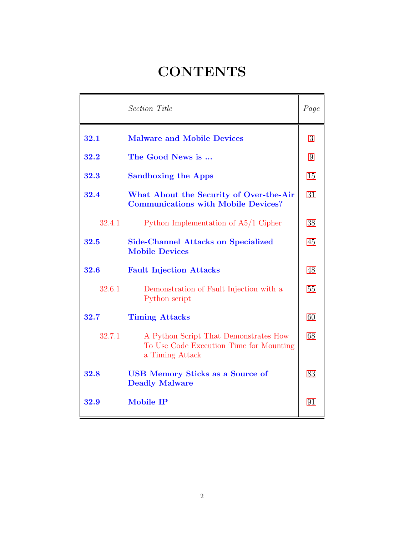### **CONTENTS**

<span id="page-1-0"></span>

|        | Section Title                                                                                       | Page |  |
|--------|-----------------------------------------------------------------------------------------------------|------|--|
| 32.1   | <b>Malware and Mobile Devices</b>                                                                   |      |  |
| 32.2   | The Good News is                                                                                    |      |  |
| 32.3   | <b>Sandboxing the Apps</b>                                                                          |      |  |
| 32.4   | What About the Security of Over-the-Air<br><b>Communications with Mobile Devices?</b>               |      |  |
| 32.4.1 | Python Implementation of A5/1 Cipher                                                                | 38   |  |
| 32.5   | <b>Side-Channel Attacks on Specialized</b><br><b>Mobile Devices</b>                                 |      |  |
| 32.6   | <b>Fault Injection Attacks</b>                                                                      |      |  |
| 32.6.1 | Demonstration of Fault Injection with a<br>Python script                                            | 55   |  |
| 32.7   | <b>Timing Attacks</b>                                                                               |      |  |
| 32.7.1 | A Python Script That Demonstrates How<br>To Use Code Execution Time for Mounting<br>a Timing Attack | 68   |  |
| 32.8   | <b>USB Memory Sticks as a Source of</b><br><b>Deadly Malware</b>                                    |      |  |
| 32.9   | <b>Mobile IP</b>                                                                                    | 91   |  |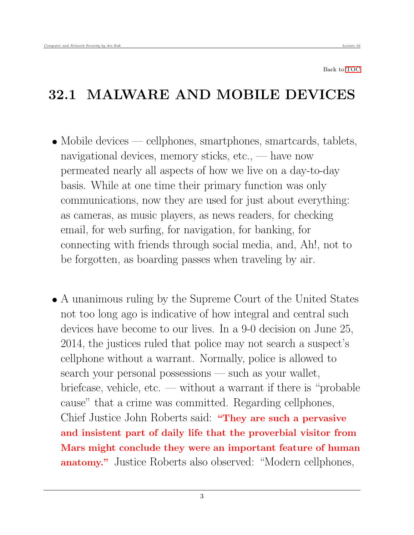<span id="page-2-0"></span>Back to [TOC](#page-1-0)

## 32.1 MALWARE AND MOBILE DEVICES

- Mobile devices cellphones, smartphones, smartcards, tablets, navigational devices, memory sticks, etc., — have now permeated nearly all aspects of how we live on a day-to-day basis. While at one time their primary function was only communications, now they are used for just about everything: as cameras, as music players, as news readers, for checking email, for web surfing, for navigation, for banking, for connecting with friends through social media, and, Ah!, not to be forgotten, as boarding passes when traveling by air.
- A unanimous ruling by the Supreme Court of the United States not too long ago is indicative of how integral and central such devices have become to our lives. In a 9-0 decision on June 25, 2014, the justices ruled that police may not search a suspect's cellphone without a warrant. Normally, police is allowed to search your personal possessions — such as your wallet, briefcase, vehicle, etc. — without a warrant if there is "probable" cause" that a crime was committed. Regarding cellphones, Chief Justice John Roberts said: "They are such a pervasive and insistent part of daily life that the proverbial visitor from Mars might conclude they were an important feature of human anatomy." Justice Roberts also observed: "Modern cellphones,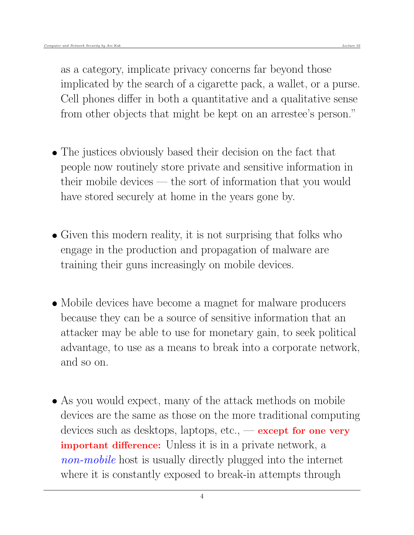as a category, implicate privacy concerns far beyond those implicated by the search of a cigarette pack, a wallet, or a purse. Cell phones differ in both a quantitative and a qualitative sense from other objects that might be kept on an arrestee's person."

- The justices obviously based their decision on the fact that people now routinely store private and sensitive information in their mobile devices — the sort of information that you would have stored securely at home in the years gone by.
- Given this modern reality, it is not surprising that folks who engage in the production and propagation of malware are training their guns increasingly on mobile devices.
- Mobile devices have become a magnet for malware producers because they can be a source of sensitive information that an attacker may be able to use for monetary gain, to seek political advantage, to use as a means to break into a corporate network, and so on.
- As you would expect, many of the attack methods on mobile devices are the same as those on the more traditional computing devices such as desktops, laptops, etc.,  $\text{--}$  except for one very important difference: Unless it is in a private network, a non-mobile host is usually directly plugged into the internet where it is constantly exposed to break-in attempts through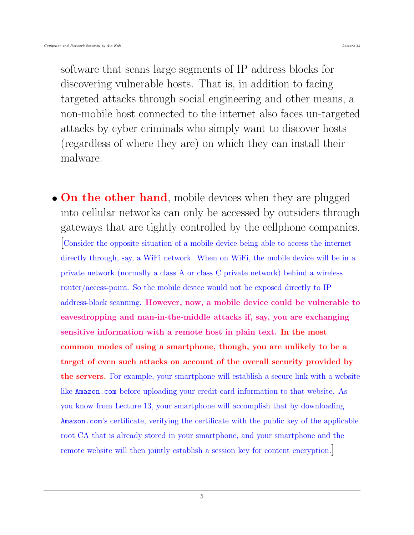software that scans large segments of IP address blocks for discovering vulnerable hosts. That is, in addition to facing targeted attacks through social engineering and other means, a non-mobile host connected to the internet also faces un-targeted attacks by cyber criminals who simply want to discover hosts (regardless of where they are) on which they can install their malware.

• On the other hand, mobile devices when they are plugged into cellular networks can only be accessed by outsiders through gateways that are tightly controlled by the cellphone companies. [Consider the opposite situation of a mobile device being able to access the internet directly through, say, a WiFi network. When on WiFi, the mobile device will be in a private network (normally a class A or class C private network) behind a wireless router/access-point. So the mobile device would not be exposed directly to IP address-block scanning. However, now, a mobile device could be vulnerable to eavesdropping and man-in-the-middle attacks if, say, you are exchanging sensitive information with a remote host in plain text. In the most common modes of using a smartphone, though, you are unlikely to be a target of even such attacks on account of the overall security provided by the servers. For example, your smartphone will establish a secure link with a website like Amazon.com before uploading your credit-card information to that website. As you know from Lecture 13, your smartphone will accomplish that by downloading Amazon.com's certificate, verifying the certificate with the public key of the applicable root CA that is already stored in your smartphone, and your smartphone and the remote website will then jointly establish a session key for content encryption.]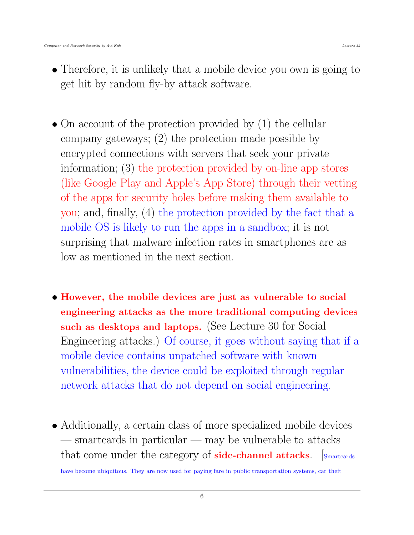- Therefore, it is unlikely that a mobile device you own is going to get hit by random fly-by attack software.
- On account of the protection provided by (1) the cellular company gateways; (2) the protection made possible by encrypted connections with servers that seek your private information; (3) the protection provided by on-line app stores (like Google Play and Apple's App Store) through their vetting of the apps for security holes before making them available to you; and, finally, (4) the protection provided by the fact that a mobile OS is likely to run the apps in a sandbox; it is not surprising that malware infection rates in smartphones are as low as mentioned in the next section.
- However, the mobile devices are just as vulnerable to social engineering attacks as the more traditional computing devices such as desktops and laptops. (See Lecture 30 for Social Engineering attacks.) Of course, it goes without saying that if a mobile device contains unpatched software with known vulnerabilities, the device could be exploited through regular network attacks that do not depend on social engineering.
- Additionally, a certain class of more specialized mobile devices — smartcards in particular — may be vulnerable to attacks that come under the category of **side-channel attacks**. [Smartcards]

have become ubiquitous. They are now used for paying fare in public transportation systems, car theft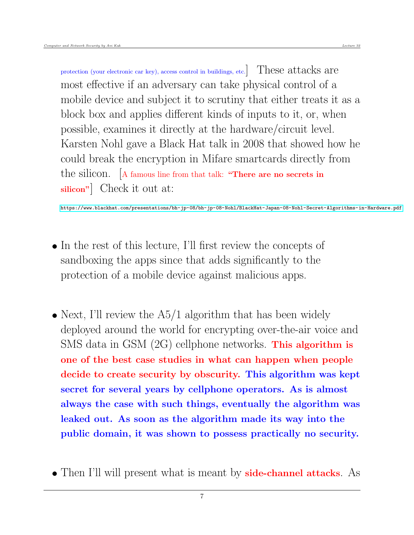protection (your electronic car key), access control in buildings, etc. These attacks are most effective if an adversary can take physical control of a mobile device and subject it to scrutiny that either treats it as a block box and applies different kinds of inputs to it, or, when possible, examines it directly at the hardware/circuit level. Karsten Nohl gave a Black Hat talk in 2008 that showed how he could break the encryption in Mifare smartcards directly from the silicon. [A famous line from that talk: "There are no secrets in silicon" Check it out at:

<https://www.blackhat.com/presentations/bh-jp-08/bh-jp-08-Nohl/BlackHat-Japan-08-Nohl-Secret-Algorithms-in-Hardware.pdf>

- In the rest of this lecture, I'll first review the concepts of sandboxing the apps since that adds significantly to the protection of a mobile device against malicious apps.
- $\bullet$  Next, I'll review the A5/1 algorithm that has been widely deployed around the world for encrypting over-the-air voice and SMS data in GSM (2G) cellphone networks. This algorithm is one of the best case studies in what can happen when people decide to create security by obscurity. This algorithm was kept secret for several years by cellphone operators. As is almost always the case with such things, eventually the algorithm was leaked out. As soon as the algorithm made its way into the public domain, it was shown to possess practically no security.
- Then I'll will present what is meant by side-channel attacks. As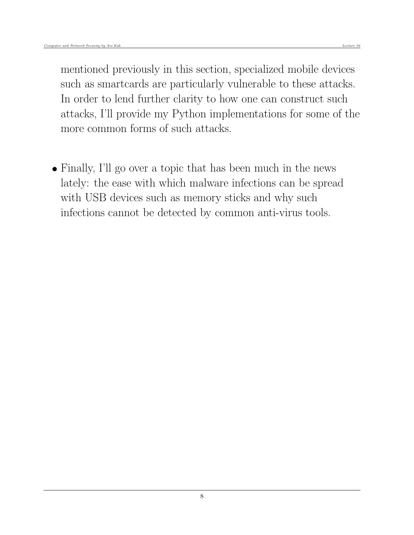mentioned previously in this section, specialized mobile devices such as smartcards are particularly vulnerable to these attacks. In order to lend further clarity to how one can construct such attacks, I'll provide my Python implementations for some of the more common forms of such attacks.

 Finally, I'll go over a topic that has been much in the news lately: the ease with which malware infections can be spread with USB devices such as memory sticks and why such infections cannot be detected by common anti-virus tools.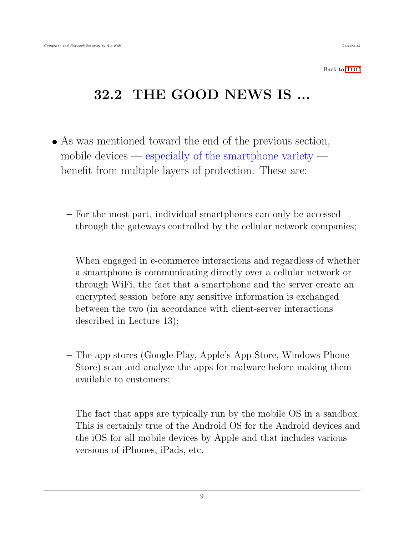<span id="page-8-0"></span>Back to [TOC](#page-1-0)

## 32.2 THE GOOD NEWS IS ...

- As was mentioned toward the end of the previous section, mobile devices — especially of the smartphone variety benefit from multiple layers of protection. These are:
	- For the most part, individual smartphones can only be accessed through the gateways controlled by the cellular network companies;
	- When engaged in e-commerce interactions and regardless of whether a smartphone is communicating directly over a cellular network or through WiFi, the fact that a smartphone and the server create an encrypted session before any sensitive information is exchanged between the two (in accordance with client-server interactions described in Lecture 13);
	- The app stores (Google Play, Apple's App Store, Windows Phone Store) scan and analyze the apps for malware before making them available to customers;
	- The fact that apps are typically run by the mobile OS in a sandbox. This is certainly true of the Android OS for the Android devices and the iOS for all mobile devices by Apple and that includes various versions of iPhones, iPads, etc.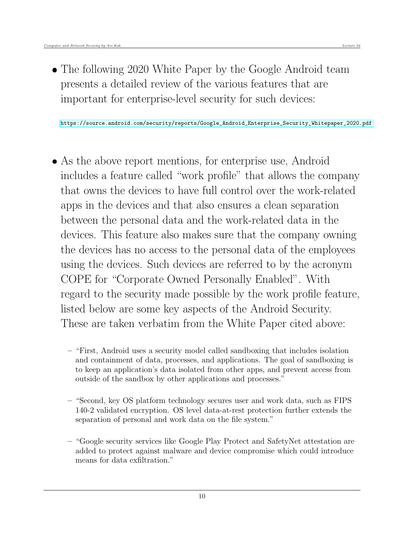• The following 2020 White Paper by the Google Android team presents a detailed review of the various features that are important for enterprise-level security for such devices:

[https://source.android.com/security/reports/Google\\_Android\\_Enterprise\\_Security\\_Whitepaper\\_2020.pdf](https://source.android.com/security/reports/Google_Android_Enterprise_Security_Whitepaper_2020.pdf)

- As the above report mentions, for enterprise use, Android includes a feature called "work profile" that allows the company that owns the devices to have full control over the work-related apps in the devices and that also ensures a clean separation between the personal data and the work-related data in the devices. This feature also makes sure that the company owning the devices has no access to the personal data of the employees using the devices. Such devices are referred to by the acronym COPE for "Corporate Owned Personally Enabled". With regard to the security made possible by the work profile feature, listed below are some key aspects of the Android Security. These are taken verbatim from the White Paper cited above:
	- "First, Android uses a security model called sandboxing that includes isolation and containment of data, processes, and applications. The goal of sandboxing is to keep an application's data isolated from other apps, and prevent access from outside of the sandbox by other applications and processes."
	- "Second, key OS platform technology secures user and work data, such as FIPS 140-2 validated encryption. OS level data-at-rest protection further extends the separation of personal and work data on the file system."
	- "Google security services like Google Play Protect and SafetyNet attestation are added to protect against malware and device compromise which could introduce means for data exfiltration."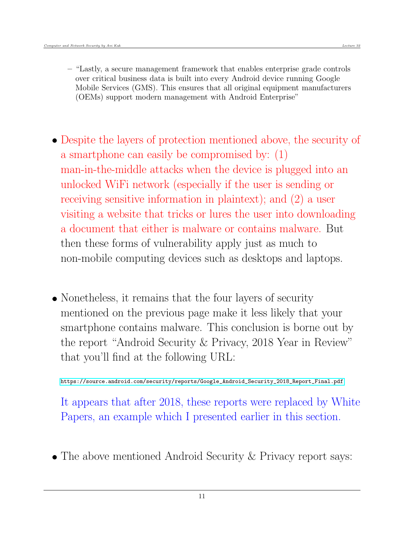- "Lastly, a secure management framework that enables enterprise grade controls over critical business data is built into every Android device running Google Mobile Services (GMS). This ensures that all original equipment manufacturers (OEMs) support modern management with Android Enterprise"
- Despite the layers of protection mentioned above, the security of a smartphone can easily be compromised by: (1) man-in-the-middle attacks when the device is plugged into an unlocked WiFi network (especially if the user is sending or receiving sensitive information in plaintext); and (2) a user visiting a website that tricks or lures the user into downloading a document that either is malware or contains malware. But then these forms of vulnerability apply just as much to non-mobile computing devices such as desktops and laptops.
- Nonetheless, it remains that the four layers of security mentioned on the previous page make it less likely that your smartphone contains malware. This conclusion is borne out by the report "Android Security & Privacy, 2018 Year in Review" that you'll find at the following URL:

[https://source.android.com/security/reports/Google\\_Android\\_Security\\_2018\\_Report\\_Final.pdf](https://source.android.com/security/reports/Google_Android_Security_2018_Report_Final.pdf)

It appears that after 2018, these reports were replaced by White Papers, an example which I presented earlier in this section.

• The above mentioned Android Security & Privacy report says: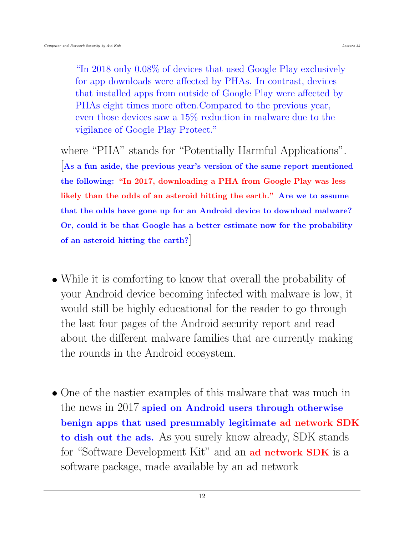"In 2018 only 0.08% of devices that used Google Play exclusively for app downloads were affected by PHAs. In contrast, devices that installed apps from outside of Google Play were affected by PHAs eight times more often.Compared to the previous year, even those devices saw a 15% reduction in malware due to the vigilance of Google Play Protect."

where "PHA" stands for "Potentially Harmful Applications". [As a fun aside, the previous year's version of the same report mentioned the following: "In 2017, downloading a PHA from Google Play was less likely than the odds of an asteroid hitting the earth." Are we to assume that the odds have gone up for an Android device to download malware? Or, could it be that Google has a better estimate now for the probability of an asteroid hitting the earth?]

- While it is comforting to know that overall the probability of your Android device becoming infected with malware is low, it would still be highly educational for the reader to go through the last four pages of the Android security report and read about the different malware families that are currently making the rounds in the Android ecosystem.
- One of the nastier examples of this malware that was much in the news in 2017 spied on Android users through otherwise benign apps that used presumably legitimate ad network SDK to dish out the ads. As you surely know already, SDK stands for "Software Development Kit" and an **ad network SDK** is a software package, made available by an ad network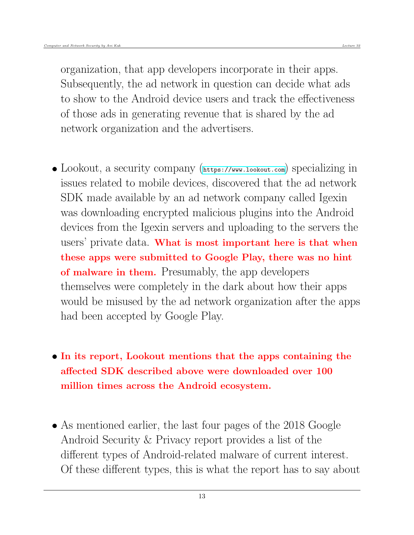organization, that app developers incorporate in their apps. Subsequently, the ad network in question can decide what ads to show to the Android device users and track the effectiveness of those ads in generating revenue that is shared by the ad network organization and the advertisers.

- Lookout, a security company (<https://www.lookout.com>) specializing in issues related to mobile devices, discovered that the ad network SDK made available by an ad network company called Igexin was downloading encrypted malicious plugins into the Android devices from the Igexin servers and uploading to the servers the users' private data. What is most important here is that when these apps were submitted to Google Play, there was no hint of malware in them. Presumably, the app developers themselves were completely in the dark about how their apps would be misused by the ad network organization after the apps had been accepted by Google Play.
- In its report, Lookout mentions that the apps containing the affected SDK described above were downloaded over 100 million times across the Android ecosystem.
- As mentioned earlier, the last four pages of the 2018 Google Android Security & Privacy report provides a list of the different types of Android-related malware of current interest. Of these different types, this is what the report has to say about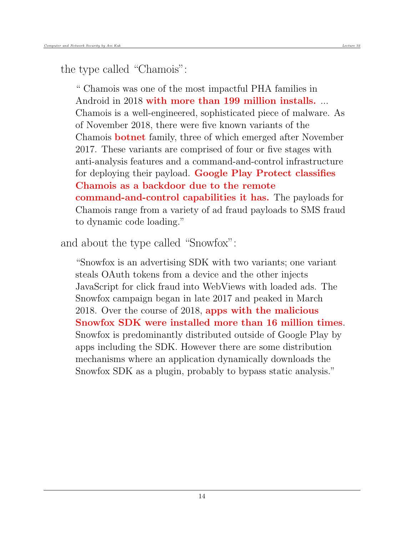the type called "Chamois":

" Chamois was one of the most impactful PHA families in Android in 2018 with more than 199 million installs... Chamois is a well-engineered, sophisticated piece of malware. As of November 2018, there were five known variants of the Chamois botnet family, three of which emerged after November 2017. These variants are comprised of four or five stages with anti-analysis features and a command-and-control infrastructure for deploying their payload. Google Play Protect classifies Chamois as a backdoor due to the remote command-and-control capabilities it has. The payloads for Chamois range from a variety of ad fraud payloads to SMS fraud to dynamic code loading."

and about the type called "Snowfox":

"Snowfox is an advertising SDK with two variants; one variant steals OAuth tokens from a device and the other injects JavaScript for click fraud into WebViews with loaded ads. The Snowfox campaign began in late 2017 and peaked in March 2018. Over the course of 2018, apps with the malicious Snowfox SDK were installed more than 16 million times. Snowfox is predominantly distributed outside of Google Play by apps including the SDK. However there are some distribution mechanisms where an application dynamically downloads the Snowfox SDK as a plugin, probably to bypass static analysis."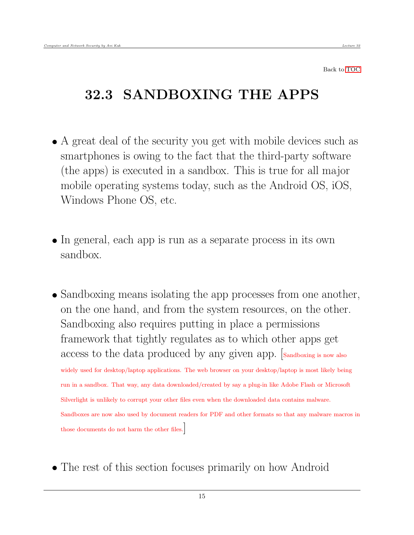<span id="page-14-0"></span>Back to [TOC](#page-1-0)

# 32.3 SANDBOXING THE APPS

- A great deal of the security you get with mobile devices such as smartphones is owing to the fact that the third-party software (the apps) is executed in a sandbox. This is true for all major mobile operating systems today, such as the Android OS, iOS, Windows Phone OS, etc.
- In general, each app is run as a separate process in its own sandbox.
- Sandboxing means isolating the app processes from one another, on the one hand, and from the system resources, on the other. Sandboxing also requires putting in place a permissions framework that tightly regulates as to which other apps get access to the data produced by any given app. [Sandboxing is now also widely used for desktop/laptop applications. The web browser on your desktop/laptop is most likely being run in a sandbox. That way, any data downloaded/created by say a plug-in like Adobe Flash or Microsoft Silverlight is unlikely to corrupt your other files even when the downloaded data contains malware. Sandboxes are now also used by document readers for PDF and other formats so that any malware macros in those documents do not harm the other files.]
- The rest of this section focuses primarily on how Android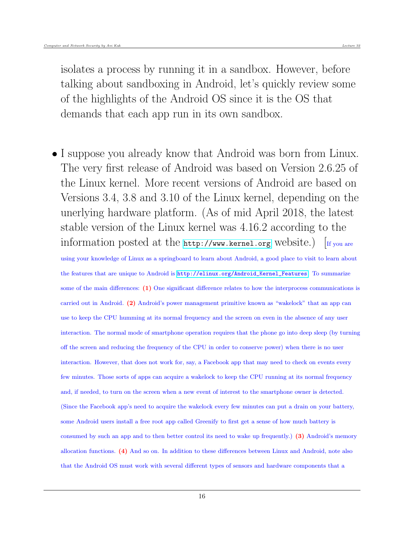isolates a process by running it in a sandbox. However, before talking about sandboxing in Android, let's quickly review some of the highlights of the Android OS since it is the OS that demands that each app run in its own sandbox.

• I suppose you already know that Android was born from Linux. The very first release of Android was based on Version 2.6.25 of the Linux kernel. More recent versions of Android are based on Versions 3.4, 3.8 and 3.10 of the Linux kernel, depending on the unerlying hardware platform. (As of mid April 2018, the latest stable version of the Linux kernel was 4.16.2 according to the information posted at the  $h_{\text{t}}/$ /www.kernel.org website.) [If you are

using your knowledge of Linux as a springboard to learn about Android, a good place to visit to learn about the features that are unique to Android is [http://elinux.org/Android\\_Kernel\\_Features](http://elinux.org/Android_Kernel_Features). To summarize some of the main differences: (1) One significant difference relates to how the interprocess communications is carried out in Android. (2) Android's power management primitive known as "wakelock" that an app can use to keep the CPU humming at its normal frequency and the screen on even in the absence of any user interaction. The normal mode of smartphone operation requires that the phone go into deep sleep (by turning off the screen and reducing the frequency of the CPU in order to conserve power) when there is no user interaction. However, that does not work for, say, a Facebook app that may need to check on events every few minutes. Those sorts of apps can acquire a wakelock to keep the CPU running at its normal frequency and, if needed, to turn on the screen when a new event of interest to the smartphone owner is detected. (Since the Facebook app's need to acquire the wakelock every few minutes can put a drain on your battery, some Android users install a free root app called Greenify to first get a sense of how much battery is consumed by such an app and to then better control its need to wake up frequently.) (3) Android's memory allocation functions. (4) And so on. In addition to these differences between Linux and Android, note also that the Android OS must work with several different types of sensors and hardware components that a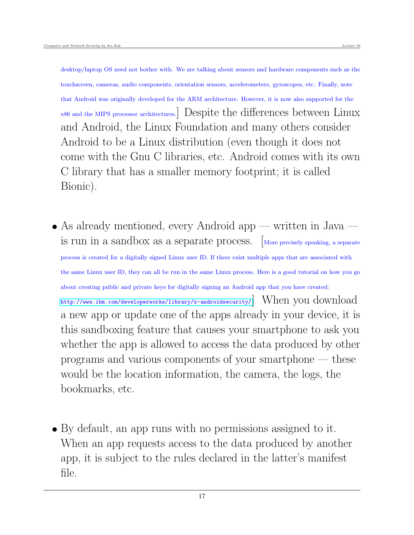desktop/laptop OS need not bother with. We are talking about sensors and hardware components such as the touchscreen, cameras, audio components, orientation sensors, accelerometers, gyroscopes, etc. Finally, note that Android was originally developed for the ARM architecture. However, it is now also supported for the x86 and the MIPS processor architectures.] Despite the differences between Linux and Android, the Linux Foundation and many others consider Android to be a Linux distribution (even though it does not come with the Gnu C libraries, etc. Android comes with its own C library that has a smaller memory footprint; it is called Bionic).

- As already mentioned, every Android app written in Java is run in a sandbox as a separate process. [More precisely speaking, a separate process is created for a digitally signed Linux user ID. If there exist multiple apps that are associated with the same Linux user ID, they can all be run in the same Linux process. Here is a good tutorial on how you go about creating public and private keys for digitally signing an Android app that you have created: <http://www.ibm.com/developerworks/library/x-androidsecurity/>] When you download a new app or update one of the apps already in your device, it is this sandboxing feature that causes your smartphone to ask you whether the app is allowed to access the data produced by other programs and various components of your smartphone — these would be the location information, the camera, the logs, the bookmarks, etc.
- By default, an app runs with no permissions assigned to it. When an app requests access to the data produced by another app, it is subject to the rules declared in the latter's manifest file.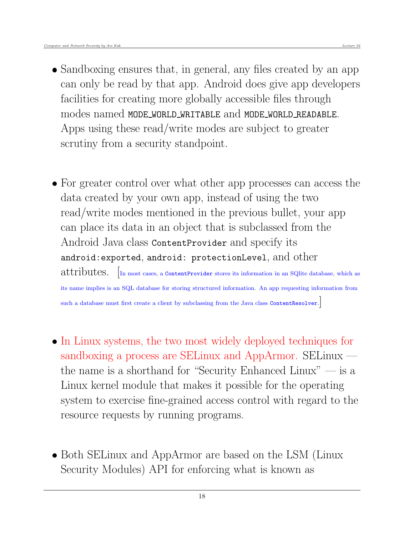- Sandboxing ensures that, in general, any files created by an app can only be read by that app. Android does give app developers facilities for creating more globally accessible files through modes named MODE WORLD WRITABLE and MODE WORLD READABLE. Apps using these read/write modes are subject to greater scrutiny from a security standpoint.
- For greater control over what other app processes can access the data created by your own app, instead of using the two read/write modes mentioned in the previous bullet, your app can place its data in an object that is subclassed from the Android Java class ContentProvider and specify its android:exported, android: protectionLevel, and other attributes. [In most cases, a ContentProvider stores its information in an SQlite database, which as its name implies is an SQL database for storing structured information. An app requesting information from such a database must first create a client by subclassing from the Java class ContentResolver.
- In Linux systems, the two most widely deployed techniques for sandboxing a process are SELinux and AppArmor. SELinux the name is a shorthand for "Security Enhanced Linux"  $-$  is a Linux kernel module that makes it possible for the operating system to exercise fine-grained access control with regard to the resource requests by running programs.
- Both SELinux and AppArmor are based on the LSM (Linux Security Modules) API for enforcing what is known as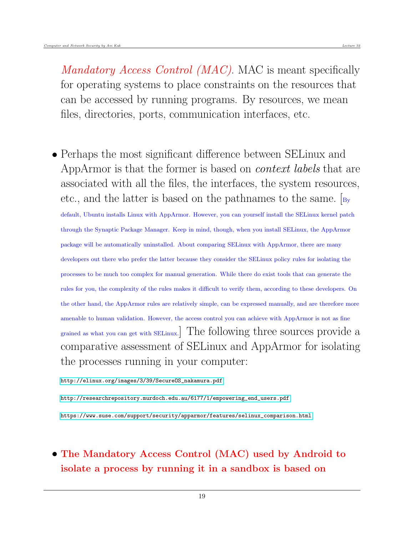Mandatory Access Control (MAC). MAC is meant specifically for operating systems to place constraints on the resources that can be accessed by running programs. By resources, we mean files, directories, ports, communication interfaces, etc.

 Perhaps the most significant difference between SELinux and AppArmor is that the former is based on *context labels* that are associated with all the files, the interfaces, the system resources, etc., and the latter is based on the pathnames to the same.  $\vert_{\text{By}}$ 

default, Ubuntu installs Linux with AppArmor. However, you can yourself install the SELinux kernel patch through the Synaptic Package Manager. Keep in mind, though, when you install SELinux, the AppArmor package will be automatically uninstalled. About comparing SELinux with AppArmor, there are many developers out there who prefer the latter because they consider the SELinux policy rules for isolating the processes to be much too complex for manual generation. While there do exist tools that can generate the rules for you, the complexity of the rules makes it difficult to verify them, according to these developers. On the other hand, the AppArmor rules are relatively simple, can be expressed manually, and are therefore more amenable to human validation. However, the access control you can achieve with AppArmor is not as fine grained as what you can get with SELinux.] The following three sources provide a comparative assessment of SELinux and AppArmor for isolating the processes running in your computer:

[http://elinux.org/images/3/39/SecureOS\\_nakamura.pdf](http://elinux.org/images/3/39/SecureOS_nakamura.pdf)

[http://researchrepository.murdoch.edu.au/6177/1/empowering\\_end\\_users.pdf](http://researchrepository.murdoch.edu.au/6177/1/empowering_end_users.pdf)

[https://www.suse.com/support/security/apparmor/features/selinux\\_comparison.html](https://www.suse.com/support/security/apparmor/features/selinux_comparison.html)

 The Mandatory Access Control (MAC) used by Android to isolate a process by running it in a sandbox is based on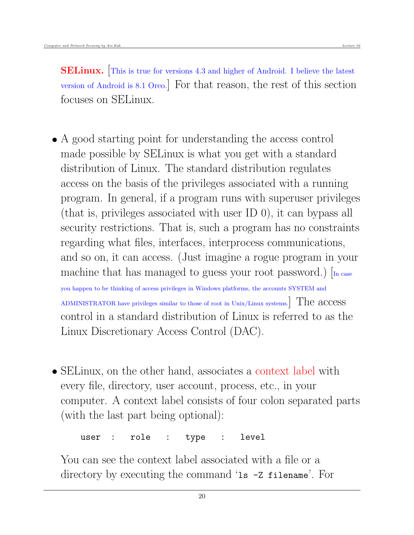SELinux. This is true for versions 4.3 and higher of Android. I believe the latest version of Android is 8.1 Oreo.] For that reason, the rest of this section focuses on SELinux.

 A good starting point for understanding the access control made possible by SELinux is what you get with a standard distribution of Linux. The standard distribution regulates access on the basis of the privileges associated with a running program. In general, if a program runs with superuser privileges (that is, privileges associated with user ID 0), it can bypass all security restrictions. That is, such a program has no constraints regarding what files, interfaces, interprocess communications, and so on, it can access. (Just imagine a rogue program in your machine that has managed to guess your root password.)  $\left[$ <sub>In case</sub>

you happen to be thinking of access privileges in Windows platforms, the accounts SYSTEM and ADMINISTRATOR have privileges similar to those of root in Unix/Linux systems. The access control in a standard distribution of Linux is referred to as the Linux Discretionary Access Control (DAC).

• SELinux, on the other hand, associates a context label with every file, directory, user account, process, etc., in your computer. A context label consists of four colon separated parts (with the last part being optional):

user : role : type : level

You can see the context label associated with a file or a directory by executing the command 'ls -Z filename'. For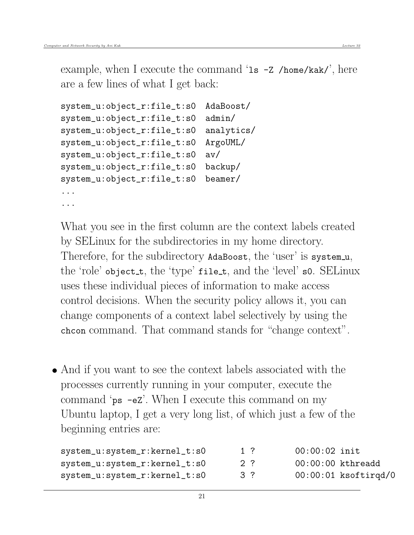example, when I execute the command 'ls -Z /home/kak/', here are a few lines of what I get back:

```
system_u:object_r:file_t:s0 AdaBoost/
system_u:object_r:file_t:s0 admin/
system_u:object_r:file_t:s0 analytics/
system_u:object_r:file_t:s0 ArgoUML/
system_u:object_r:file_t:s0 av/
system_u:object_r:file_t:s0 backup/
system_u:object_r:file_t:s0 beamer/
...
...
```
What you see in the first column are the context labels created by SELinux for the subdirectories in my home directory. Therefore, for the subdirectory AdaBoost, the 'user' is system<sub>u</sub>, the 'role' object\_t, the 'type' file\_t, and the 'level' s0. SELinux uses these individual pieces of information to make access control decisions. When the security policy allows it, you can change components of a context label selectively by using the chcon command. That command stands for "change context".

 And if you want to see the context labels associated with the processes currently running in your computer, execute the command 'ps -eZ'. When I execute this command on my Ubuntu laptop, I get a very long list, of which just a few of the beginning entries are:

| system_u:system_r:kernel_t:s0 | 1 ? | $00:00:02$ init |                        |
|-------------------------------|-----|-----------------|------------------------|
| system_u:system_r:kernel_t:s0 | 2?  |                 | $00:00:00$ kthreadd    |
| system_u:system_r:kernel_t:s0 | 3?  |                 | $00:00:01$ ksoftirgd/0 |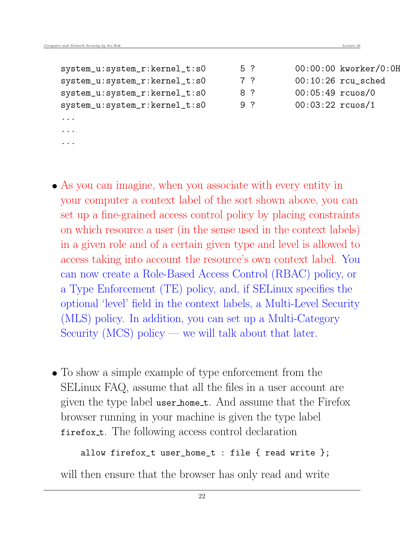...

system\_u:system\_r:kernel\_t:s0 5 ? 00:00:00 kworker/0:0H system\_u:system\_r:kernel\_t:s0 7 ? 00:10:26 rcu\_sched system\_u:system\_r:kernel\_t:s0 8 ? 00:05:49 rcuos/0 system\_u:system\_r:kernel\_t:s0 9 ? 00:03:22 rcuos/1 ... ...

- As you can imagine, when you associate with every entity in your computer a context label of the sort shown above, you can set up a fine-grained access control policy by placing constraints on which resource a user (in the sense used in the context labels) in a given role and of a certain given type and level is allowed to access taking into account the resource's own context label. You can now create a Role-Based Access Control (RBAC) policy, or a Type Enforcement (TE) policy, and, if SELinux specifies the optional 'level' field in the context labels, a Multi-Level Security (MLS) policy. In addition, you can set up a Multi-Category Security  $(MCS)$  policy — we will talk about that later.
- To show a simple example of type enforcement from the SELinux FAQ, assume that all the files in a user account are given the type label user home t. And assume that the Firefox browser running in your machine is given the type label firefox t. The following access control declaration

```
allow firefox_t user_home_t : file { read write };
```
will then ensure that the browser has only read and write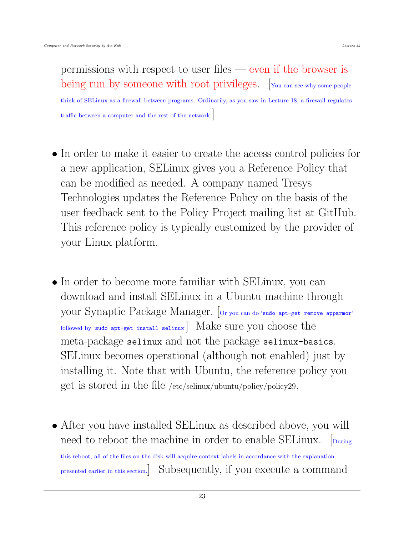permissions with respect to user files — even if the browser is being run by someone with root privileges. [You can see why some people think of SELinux as a firewall between programs. Ordinarily, as you saw in Lecture 18, a firewall regulates traffic between a computer and the rest of the network.]

- In order to make it easier to create the access control policies for a new application, SELinux gives you a Reference Policy that can be modified as needed. A company named Tresys Technologies updates the Reference Policy on the basis of the user feedback sent to the Policy Project mailing list at GitHub. This reference policy is typically customized by the provider of your Linux platform.
- In order to become more familiar with SELinux, you can download and install SELinux in a Ubuntu machine through your Synaptic Package Manager. [Or you can do 'sudo apt-get remove apparmor' followed by 'sudo apt-get install selinux'] Make sure you choose the meta-package selinux and not the package selinux-basics. SELinux becomes operational (although not enabled) just by installing it. Note that with Ubuntu, the reference policy you get is stored in the file /etc/selinux/ubuntu/policy/policy29.
- After you have installed SELinux as described above, you will need to reboot the machine in order to enable SELinux.  $\sqrt{\text{During}}$ this reboot, all of the files on the disk will acquire context labels in accordance with the explanation presented earlier in this section.] Subsequently, if you execute a command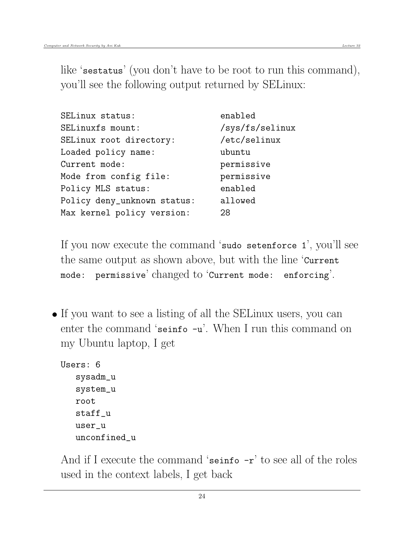like 'sestatus' (you don't have to be root to run this command), you'll see the following output returned by SELinux:

| SELinux status:             | enabled         |
|-----------------------------|-----------------|
| SELinuxfs mount:            | /sys/fs/selinux |
| SELinux root directory:     | /etc/selinux    |
| Loaded policy name:         | ubuntu          |
| Current mode:               | permissive      |
| Mode from config file:      | permissive      |
| Policy MLS status:          | enabled         |
| Policy deny_unknown status: | allowed         |
| Max kernel policy version:  | 28              |

If you now execute the command 'sudo setenforce 1', you'll see the same output as shown above, but with the line 'Current mode: permissive' changed to 'Current mode: enforcing'.

 If you want to see a listing of all the SELinux users, you can enter the command 'seinfo -u'. When I run this command on my Ubuntu laptop, I get

```
Users: 6
   sysadm_u
   system_u
   root
   staff_u
   user_u
   unconfined_u
```
And if I execute the command 'seinfo  $-r$ ' to see all of the roles used in the context labels, I get back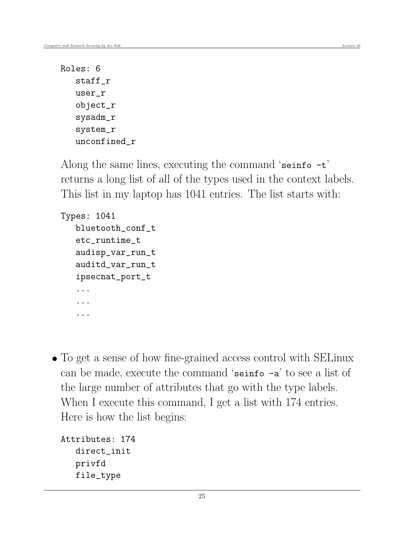```
Roles: 6
   staff_r
   user_r
   object_r
   sysadm_r
   system_r
   unconfined_r
```
Along the same lines, executing the command 'seinfo -t' returns a long list of all of the types used in the context labels. This list in my laptop has 1041 entries. The list starts with:

```
Types: 1041
   bluetooth_conf_t
   etc_runtime_t
   audisp_var_run_t
   auditd_var_run_t
   ipsecnat_port_t
   ...
   ...
   ...
```
 To get a sense of how fine-grained access control with SELinux can be made, execute the command 'seinfo -a' to see a list of the large number of attributes that go with the type labels. When I execute this command, I get a list with  $174$  entries. Here is how the list begins:

```
Attributes: 174
   direct_init
   privfd
   file_type
```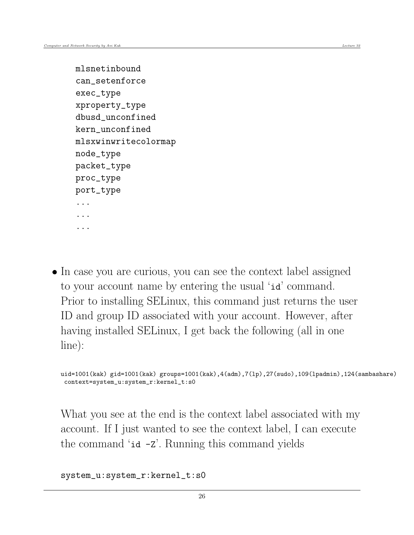```
mlsnetinbound
can_setenforce
exec_type
xproperty_type
dbusd_unconfined
kern_unconfined
mlsxwinwritecolormap
node_type
packet_type
proc_type
port_type
...
...
...
```
• In case you are curious, you can see the context label assigned to your account name by entering the usual 'id' command. Prior to installing SELinux, this command just returns the user ID and group ID associated with your account. However, after having installed SELinux, I get back the following (all in one line):

```
uid=1001(kak) gid=1001(kak) groups=1001(kak),4(adm),7(lp),27(sudo),109(lpadmin),124(sambashare)
context=system_u:system_r:kernel_t:s0
```
What you see at the end is the context label associated with my account. If I just wanted to see the context label, I can execute the command 'id -Z'. Running this command yields

```
system_u:system_r:kernel_t:s0
```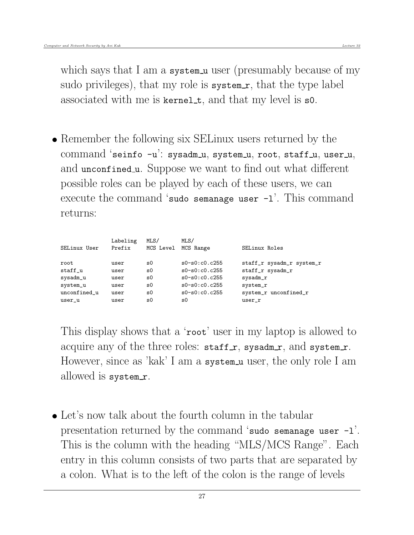which says that I am a system user (presumably because of my sudo privileges), that my role is  $system.r$ , that the type label associated with me is kernel t, and that my level is so.

• Remember the following six SELinux users returned by the command 'seinfo -u': sysadm\_u, system\_u, root, staff\_u, user\_u, and unconfined u. Suppose we want to find out what different possible roles can be played by each of these users, we can execute the command 'sudo semanage user -l'. This command returns:

| SELinux User | Labeling<br>Prefix | MLS/<br>MCS Level | MLS/<br>MCS Range | SELinux Roles             |
|--------------|--------------------|-------------------|-------------------|---------------------------|
|              |                    |                   |                   |                           |
| root         | user               | s0                | $s0-s0:c0.c255$   | staff_r sysadm_r system_r |
| staff_u      | user               | $\mathbf{s}^0$    | $s0-s0:c0.c255$   | staff_r sysadm_r          |
| sysadm_u     | user               | $\mathbf{s}^0$    | $s0-s0:c0.c255$   | sysadm_r                  |
| system_u     | user               | s0                | $s0-s0:c0.c255$   | system_r                  |
| unconfined u | user               | s0                | $s0-s0:c0.c255$   | system_r unconfined_r     |
| user_u       | user               | s0                | s0                | $user_r$                  |
|              |                    |                   |                   |                           |

This display shows that a 'root' user in my laptop is allowed to acquire any of the three roles:  $\texttt{staff_r}, \texttt{system_r},$  and  $\texttt{system_r}.$ However, since as 'kak' I am a system u user, the only role I am allowed is system r.

 Let's now talk about the fourth column in the tabular presentation returned by the command 'sudo semanage user  $-1$ '. This is the column with the heading "MLS/MCS Range". Each entry in this column consists of two parts that are separated by a colon. What is to the left of the colon is the range of levels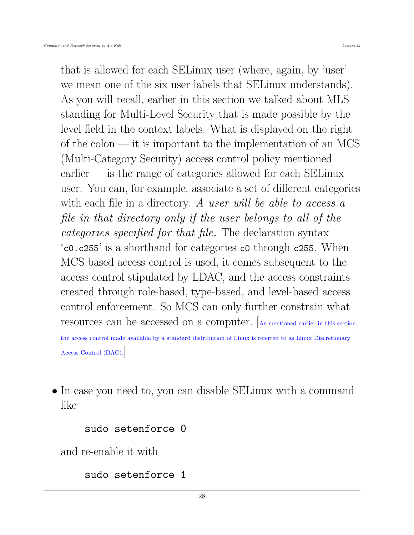that is allowed for each SELinux user (where, again, by 'user' we mean one of the six user labels that SELinux understands). As you will recall, earlier in this section we talked about MLS standing for Multi-Level Security that is made possible by the level field in the context labels. What is displayed on the right of the colon — it is important to the implementation of an MCS (Multi-Category Security) access control policy mentioned  $\ell$  earlier — is the range of categories allowed for each SEL inux user. You can, for example, associate a set of different categories with each file in a directory. A user will be able to access a file in that directory only if the user belongs to all of the categories specified for that file. The declaration syntax 'c0.c255' is a shorthand for categories c0 through c255. When MCS based access control is used, it comes subsequent to the access control stipulated by LDAC, and the access constraints created through role-based, type-based, and level-based access control enforcement. So MCS can only further constrain what resources can be accessed on a computer. [As mentioned earlier in this section,

the access control made available by a standard distribution of Linux is referred to as Linux Discretionary Access Control (DAC).]

• In case you need to, you can disable SELinux with a command like

```
sudo setenforce 0
```
and re-enable it with

```
sudo setenforce 1
```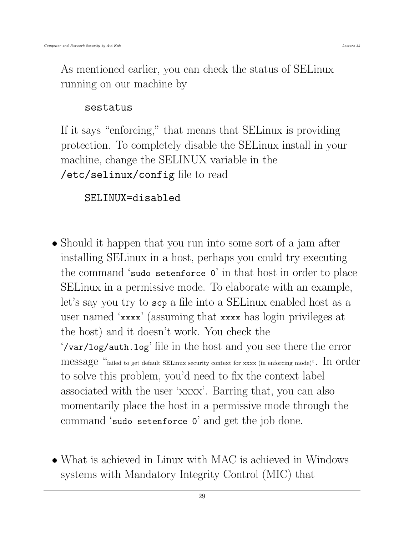As mentioned earlier, you can check the status of SELinux running on our machine by

#### sestatus

If it says "enforcing," that means that SELinux is providing protection. To completely disable the SELinux install in your machine, change the SELINUX variable in the /etc/selinux/config file to read

#### SELINUX=disabled

- Should it happen that you run into some sort of a jam after installing SELinux in a host, perhaps you could try executing the command 'sudo setenforce 0' in that host in order to place SELinux in a permissive mode. To elaborate with an example, let's say you try to scp a file into a SELinux enabled host as a user named 'xxxx' (assuming that xxxx has login privileges at the host) and it doesn't work. You check the '/var/log/auth.log' file in the host and you see there the error message "failed to get default SELinux security context for xxxx (in enforcing mode)". In order to solve this problem, you'd need to fix the context label associated with the user 'xxxx'. Barring that, you can also momentarily place the host in a permissive mode through the command 'sudo setenforce 0' and get the job done.
- What is achieved in Linux with MAC is achieved in Windows systems with Mandatory Integrity Control (MIC) that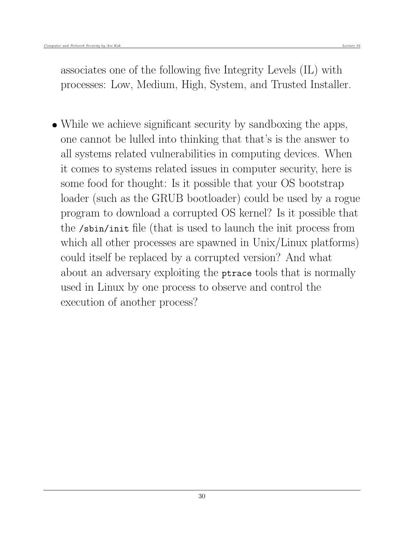associates one of the following five Integrity Levels (IL) with processes: Low, Medium, High, System, and Trusted Installer.

• While we achieve significant security by sandboxing the apps, one cannot be lulled into thinking that that's is the answer to all systems related vulnerabilities in computing devices. When it comes to systems related issues in computer security, here is some food for thought: Is it possible that your OS bootstrap loader (such as the GRUB bootloader) could be used by a rogue program to download a corrupted OS kernel? Is it possible that the /sbin/init file (that is used to launch the init process from which all other processes are spawned in Unix/Linux platforms) could itself be replaced by a corrupted version? And what about an adversary exploiting the ptrace tools that is normally used in Linux by one process to observe and control the execution of another process?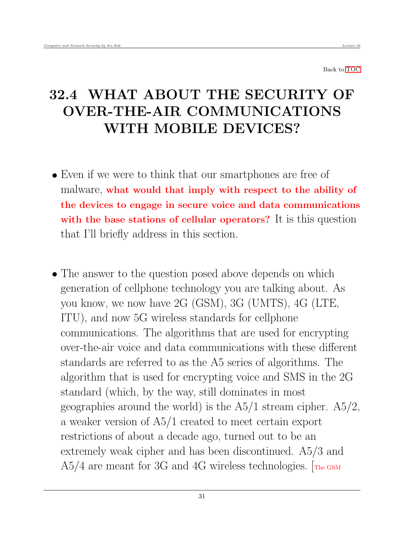<span id="page-30-0"></span>Back to [TOC](#page-1-0)

## 32.4 WHAT ABOUT THE SECURITY OF OVER-THE-AIR COMMUNICATIONS WITH MOBILE DEVICES?

- Even if we were to think that our smartphones are free of malware, what would that imply with respect to the ability of the devices to engage in secure voice and data communications with the base stations of cellular operators? It is this question that I'll briefly address in this section.
- The answer to the question posed above depends on which generation of cellphone technology you are talking about. As you know, we now have 2G (GSM), 3G (UMTS), 4G (LTE, ITU), and now 5G wireless standards for cellphone communications. The algorithms that are used for encrypting over-the-air voice and data communications with these different standards are referred to as the A5 series of algorithms. The algorithm that is used for encrypting voice and SMS in the 2G standard (which, by the way, still dominates in most geographies around the world) is the  $A5/1$  stream cipher.  $A5/2$ , a weaker version of A5/1 created to meet certain export restrictions of about a decade ago, turned out to be an extremely weak cipher and has been discontinued. A5/3 and  $A5/4$  are meant for 3G and 4G wireless technologies.  $r_{\text{The GSM}}$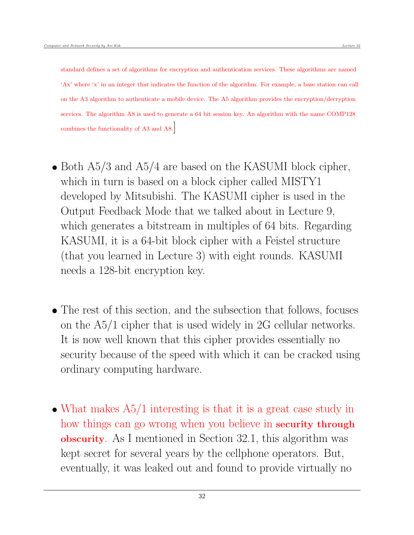standard defines a set of algorithms for encryption and authentication services. These algorithms are named 'Ax' where 'x' in an integer that indicates the function of the algorithm. For example, a base station can call on the A3 algorithm to authenticate a mobile device. The A5 algorithm provides the encryption/decryption services. The algorithm A8 is used to generate a 64 bit session key. An algorithm with the name COMP128 combines the functionality of A3 and A8.]

- Both A5/3 and A5/4 are based on the KASUMI block cipher, which in turn is based on a block cipher called MISTY1 developed by Mitsubishi. The KASUMI cipher is used in the Output Feedback Mode that we talked about in Lecture 9, which generates a bitstream in multiples of 64 bits. Regarding KASUMI, it is a 64-bit block cipher with a Feistel structure (that you learned in Lecture 3) with eight rounds. KASUMI needs a 128-bit encryption key.
- The rest of this section, and the subsection that follows, focuses on the A5/1 cipher that is used widely in 2G cellular networks. It is now well known that this cipher provides essentially no security because of the speed with which it can be cracked using ordinary computing hardware.
- What makes  $A5/1$  interesting is that it is a great case study in how things can go wrong when you believe in **security through** obscurity. As I mentioned in Section 32.1, this algorithm was kept secret for several years by the cellphone operators. But, eventually, it was leaked out and found to provide virtually no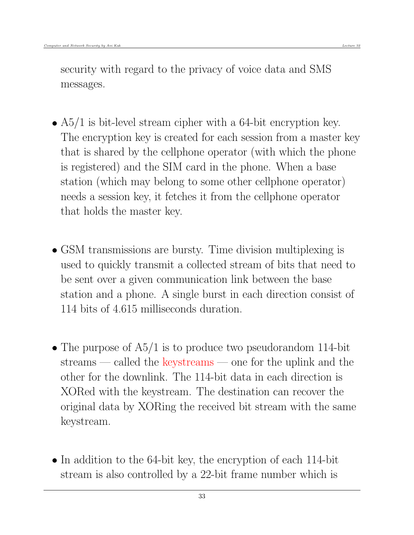security with regard to the privacy of voice data and SMS messages.

- A5/1 is bit-level stream cipher with a 64-bit encryption key. The encryption key is created for each session from a master key that is shared by the cellphone operator (with which the phone is registered) and the SIM card in the phone. When a base station (which may belong to some other cellphone operator) needs a session key, it fetches it from the cellphone operator that holds the master key.
- GSM transmissions are bursty. Time division multiplexing is used to quickly transmit a collected stream of bits that need to be sent over a given communication link between the base station and a phone. A single burst in each direction consist of 114 bits of 4.615 milliseconds duration.
- The purpose of  $A5/1$  is to produce two pseudorandom 114-bit streams — called the keystreams — one for the uplink and the other for the downlink. The 114-bit data in each direction is XORed with the keystream. The destination can recover the original data by XORing the received bit stream with the same keystream.
- $\bullet$  In addition to the 64-bit key, the encryption of each 114-bit stream is also controlled by a 22-bit frame number which is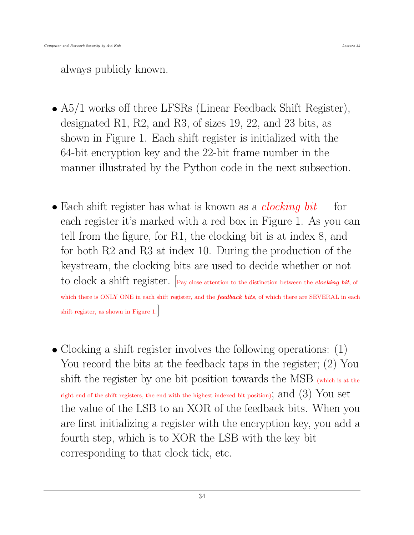always publicly known.

- A5/1 works off three LFSRs (Linear Feedback Shift Register), designated R1, R2, and R3, of sizes 19, 22, and 23 bits, as shown in Figure 1. Each shift register is initialized with the 64-bit encryption key and the 22-bit frame number in the manner illustrated by the Python code in the next subsection.
- Each shift register has what is known as a *clocking bit* for each register it's marked with a red box in Figure 1. As you can tell from the figure, for R1, the clocking bit is at index 8, and for both R2 and R3 at index 10. During the production of the keystream, the clocking bits are used to decide whether or not to clock a shift register. Pay close attention to the distinction between the *clocking bit*, of which there is ONLY ONE in each shift register, and the **feedback bits**, of which there are SEVERAL in each shift register, as shown in Figure 1.]
- Clocking a shift register involves the following operations: (1) You record the bits at the feedback taps in the register; (2) You shift the register by one bit position towards the MSB (which is at the right end of the shift registers, the end with the highest indexed bit position); and  $(3)$  You set the value of the LSB to an XOR of the feedback bits. When you are first initializing a register with the encryption key, you add a fourth step, which is to XOR the LSB with the key bit corresponding to that clock tick, etc.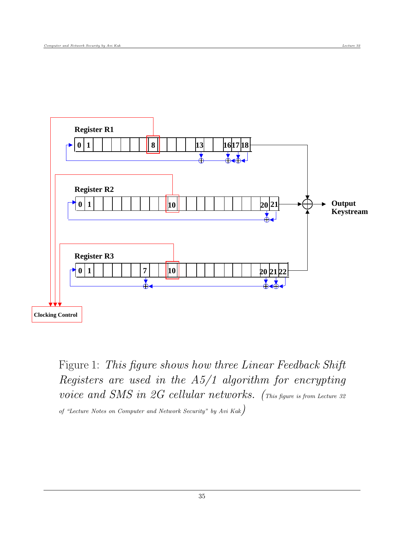

Figure 1: This figure shows how three Linear Feedback Shift Registers are used in the A5/1 algorithm for encrypting voice and SMS in 2G cellular networks. (This figure is from Lecture 32

of "Lecture Notes on Computer and Network Security" by Avi Kak)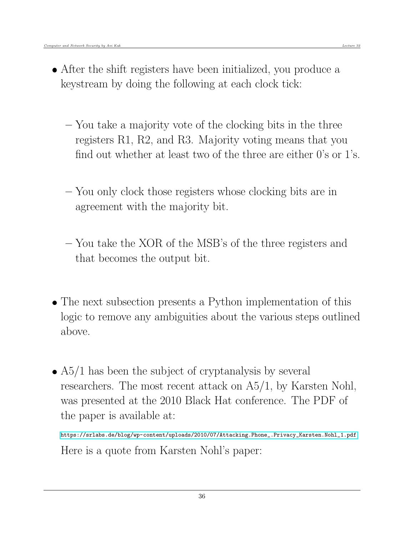- After the shift registers have been initialized, you produce a keystream by doing the following at each clock tick:
	- You take a majority vote of the clocking bits in the three registers R1, R2, and R3. Majority voting means that you find out whether at least two of the three are either 0's or 1's.
	- You only clock those registers whose clocking bits are in agreement with the majority bit.
	- You take the XOR of the MSB's of the three registers and that becomes the output bit.
- The next subsection presents a Python implementation of this logic to remove any ambiguities about the various steps outlined above.
- A5/1 has been the subject of cryptanalysis by several researchers. The most recent attack on A5/1, by Karsten Nohl, was presented at the 2010 Black Hat conference. The PDF of the paper is available at:

[https://srlabs.de/blog/wp-content/uploads/2010/07/Attacking.Phone\\_.Privacy\\_Karsten.Nohl\\_1.pdf](https://srlabs.de/blog/wp-content/uploads/2010/07/Attacking.Phone_.Privacy_Karsten.Nohl_1.pdf) Here is a quote from Karsten Nohl's paper: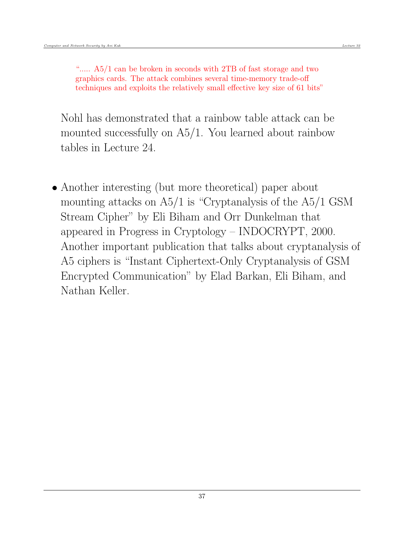".....  $A5/1$  can be broken in seconds with 2TB of fast storage and two graphics cards. The attack combines several time-memory trade-off techniques and exploits the relatively small effective key size of 61 bits"

Nohl has demonstrated that a rainbow table attack can be mounted successfully on A5/1. You learned about rainbow tables in Lecture 24.

 Another interesting (but more theoretical) paper about mounting attacks on A5/1 is "Cryptanalysis of the A5/1 GSM Stream Cipher" by Eli Biham and Orr Dunkelman that appeared in Progress in Cryptology – INDOCRYPT, 2000. Another important publication that talks about cryptanalysis of A5 ciphers is "Instant Ciphertext-Only Cryptanalysis of GSM Encrypted Communication" by Elad Barkan, Eli Biham, and Nathan Keller.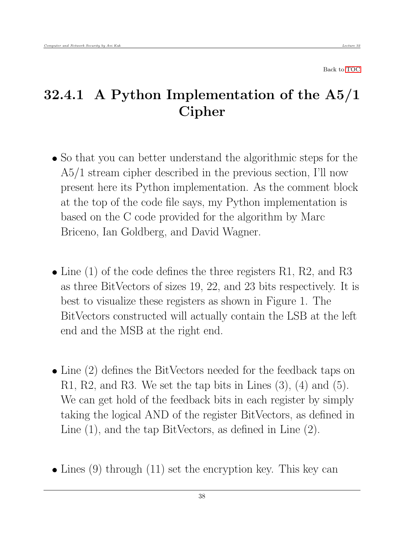# 32.4.1 A Python Implementation of the A5/1 Cipher

- So that you can better understand the algorithmic steps for the A5/1 stream cipher described in the previous section, I'll now present here its Python implementation. As the comment block at the top of the code file says, my Python implementation is based on the C code provided for the algorithm by Marc Briceno, Ian Goldberg, and David Wagner.
- Line  $(1)$  of the code defines the three registers R1, R2, and R3 as three BitVectors of sizes 19, 22, and 23 bits respectively. It is best to visualize these registers as shown in Figure 1. The BitVectors constructed will actually contain the LSB at the left end and the MSB at the right end.
- Line (2) defines the BitVectors needed for the feedback taps on R1, R2, and R3. We set the tap bits in Lines (3), (4) and (5). We can get hold of the feedback bits in each register by simply taking the logical AND of the register BitVectors, as defined in Line (1), and the tap BitVectors, as defined in Line (2).
- Lines  $(9)$  through  $(11)$  set the encryption key. This key can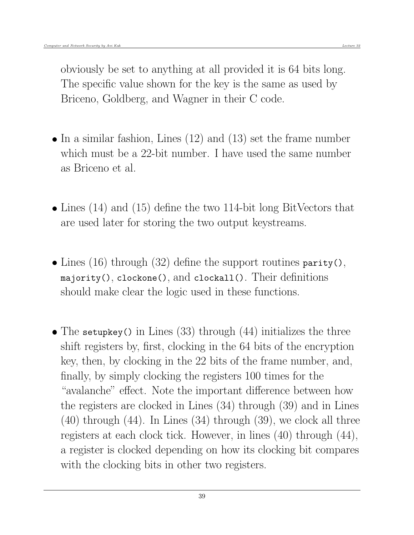obviously be set to anything at all provided it is 64 bits long. The specific value shown for the key is the same as used by Briceno, Goldberg, and Wagner in their C code.

- $\bullet$  In a similar fashion, Lines (12) and (13) set the frame number which must be a 22-bit number. I have used the same number as Briceno et al.
- Lines (14) and (15) define the two 114-bit long BitVectors that are used later for storing the two output keystreams.
- Lines (16) through (32) define the support routines  $\text{parity}($ ), majority(), clockone(), and clockall(). Their definitions should make clear the logic used in these functions.
- The setupkey() in Lines  $(33)$  through  $(44)$  initializes the three shift registers by, first, clocking in the 64 bits of the encryption key, then, by clocking in the 22 bits of the frame number, and, finally, by simply clocking the registers 100 times for the "avalanche" effect. Note the important difference between how the registers are clocked in Lines (34) through (39) and in Lines  $(40)$  through  $(44)$ . In Lines  $(34)$  through  $(39)$ , we clock all three registers at each clock tick. However, in lines (40) through (44), a register is clocked depending on how its clocking bit compares with the clocking bits in other two registers.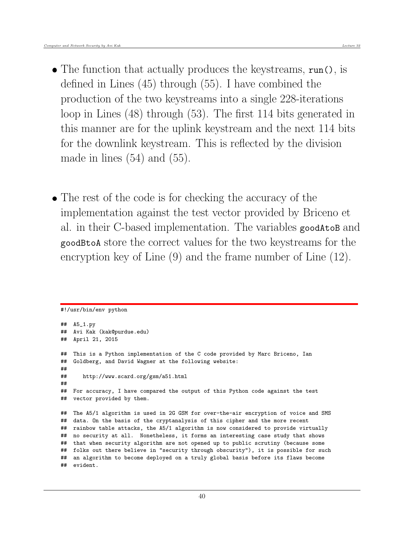- The function that actually produces the keystreams, run(), is defined in Lines (45) through (55). I have combined the production of the two keystreams into a single 228-iterations loop in Lines (48) through (53). The first 114 bits generated in this manner are for the uplink keystream and the next 114 bits for the downlink keystream. This is reflected by the division made in lines (54) and (55).
- The rest of the code is for checking the accuracy of the implementation against the test vector provided by Briceno et al. in their C-based implementation. The variables good AtoB and goodBtoA store the correct values for the two keystreams for the encryption key of Line (9) and the frame number of Line (12).

```
#!/usr/bin/env python
## A5_1.py
## Avi Kak (kak@purdue.edu)
## April 21, 2015
## This is a Python implementation of the C code provided by Marc Briceno, Ian
## Goldberg, and David Wagner at the following website:
##
## http://www.scard.org/gsm/a51.html
##
## For accuracy, I have compared the output of this Python code against the test
## vector provided by them.
## The A5/1 algorithm is used in 2G GSM for over-the-air encryption of voice and SMS
## data. On the basis of the cryptanalysis of this cipher and the more recent
## rainbow table attacks, the A5/1 algorithm is now considered to provide virtually
## no security at all. Nonetheless, it forms an interesting case study that shows
## that when security algorithm are not opened up to public scrutiny (because some
## folks out there believe in "security through obscurity"), it is possible for such
## an algorithm to become deployed on a truly global basis before its flaws become
## evident.
```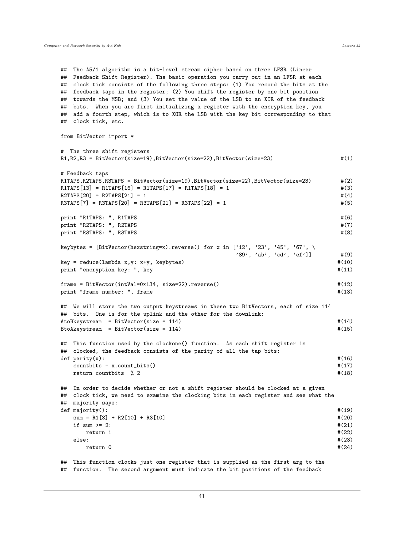```
## The A5/1 algorithm is a bit-level stream cipher based on three LFSR (Linear
## Feedback Shift Register). The basic operation you carry out in an LFSR at each
## clock tick consists of the following three steps: (1) You record the bits at the
## feedback taps in the register; (2) You shift the register by one bit position
## towards the MSB; and (3) You set the value of the LSB to an XOR of the feedback
## bits. When you are first initializing a register with the encryption key, you
## add a fourth step, which is to XOR the LSB with the key bit corresponding to that
## clock tick, etc.
from BitVector import *
# The three shift registers
R1, R2, R3 = BitVector(size=19), BitVector(size=22), BitVector(size=23) \#(1)# Feedback taps
R1TAPS,R2TAPS,R3TAPS = BitVector(size=19),BitVector(size=22),BitVector(size=23) #(2)
R1TAPS[13] = R1TAPS[16] = R1TAPS[17] = R1TAPS[18] = 1 #(3)
R2TAPS [20] = R2TAPS [21] = 1 \#(4)R3TAPS[7] = R3TAPS[20] = R3TAPS[21] = R3TAPS[22] = 1 \#(5)print "R1TAPS: ", R1TAPS #(6)
print "R2TAPS: ", R2TAPS \#(7)print "R3TAPS: ", R3TAPS #(8)
keybytes = [BitVector(hexstring=x).reverse() for x in [212, 23, 45, 46, 67, \ \times)'89', 'ab', 'cd', 'ef'] #(9)
key = reduce(lambda x, y: x+y, keybytes)   #(10)print "encryption key: ", key #(11)
frame = BitVector(intVal=0x134, size=22).reverse()print "frame number: ", frame \#(13)## We will store the two output keystreams in these two BitVectors, each of size 114
## bits. One is for the uplink and the other for the downlink:
AtoBkeystream = BitVector(size = 114) #(14)
BtoAkeystream = BitVector(size = 114) #(15)
## This function used by the clockone() function. As each shift register is
## clocked, the feedback consists of the parity of all the tap bits:
def parity(x): \#(16)countbits = x.count bits() #(17)return countbits \chi 2 \qquad \qquad \qquad \qquad \qquad \qquad \qquad \qquad \qquad \qquad \qquad \qquad \qquad \qquad \qquad \qquad \qquad \qquad \qquad \qquad \qquad \qquad \qquad \qquad \qquad \qquad \qquad \qquad \qquad \qquad \qquad \qquad \qquad## In order to decide whether or not a shift register should be clocked at a given
## clock tick, we need to examine the clocking bits in each register and see what the
## majority says:
def majority(): \#(19)sum = R1[8] + R2[10] + R3[10] \#(20)if sum >= 2: \#(21)r return 1 \#(22)else: #(23)
     r return 0 \#(24)
```
## This function clocks just one register that is supplied as the first arg to the ## function. The second argument must indicate the bit positions of the feedback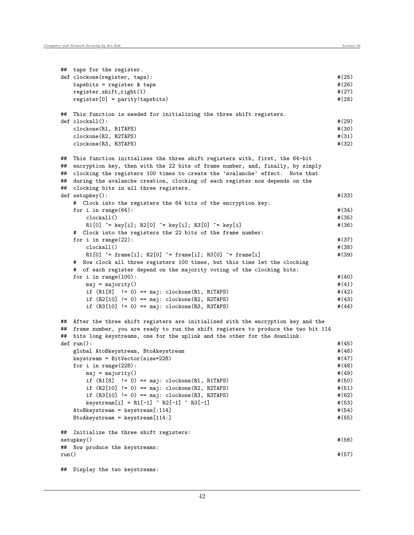```
## taps for the register.
def clockone(register, taps): #(25)
  tapsbits = register & taps #(26)
  register.shift_right(1) \#(27)register[0] = parity(tapsbits) #(28)
## This function is needed for initializing the three shift registers.
def clockall(): #(29)clockone(R1, R1TAPS) \#(30)
  clockone(R2, R2TAPS) \#(31)clockone(R3, R3TAPS) #(32)
## This function initializes the three shift registers with, first, the 64-bit
## encryption key, then with the 22 bits of frame number, and, finally, by simply
## clocking the registers 100 times to create the 'avalanche' effect. Note that
## during the avalanche creation, clocking of each register now depends on the
## clocking bits in all three registers.
\det setupkey(): \#(33)# Clock into the registers the 64 bits of the encryption key:
  for i in range(64): \#(34)clockall() #(35)
    R1[0] \hat{=} key[i]; R2[0] \hat{=} key[i]; R3[0] \hat{=} key[i] \hat{=} #(36)
  # Clock into the registers the 22 bits of the frame number:
  for i in range(22): \#(37)clockall() #(38)
    R1[0] \hat{=} frame[i]; R2[0] \hat{=} frame[i]; R3[0] \hat{=} frame[i] #(39)
  # Now clock all three registers 100 times, but this time let the clocking
  # of each register depend on the majority voting of the clocking bits:
  for i in range(100): \#(40)maj = majority() \#(41)if (R1[8] != 0) == maj: clockone(R1, R1TAPS) #(42)if (R2[10] := 0) == maj: clockwise(R2, R2TAPS) #(43)
    if (R3[10] := 0) == maj: clockwise(R3, RTAPS) #(44)
## After the three shift registers are initialized with the encryption key and the
## frame number, you are ready to run the shift registers to produce the two bit 114
## bits long keystreams, one for the uplink and the other for the downlink.
def run(): #(45)global AtoBkeystream, BtoAkeystream \#(46)keystream = BitVector(size=228) #(47)
  for i in range(228): \#(48)maj = majority() \#(49)if (R1[8] != 0) == maj: clockone(R1, R1TAPS) \#(50)if (R2[10] := 0) == maj: clockwise(R2, RTAPS)   \#(51)if (R3[10] != 0) == maj: clockwise(R3, RTAPS)   \#(62)keystream[i] = R1[-1] ^ R2[-1] ^ R3[-1] * (53)\text{AtoBkevstream} = \text{kevstream}[:114] \text{*}(54)BtoAkeystream = keystream[114:] #(55)
## Initialize the three shift registers:
setupkey() #(56)
## Now produce the keystreams:
run() \#(57)## Display the two keystreams:
```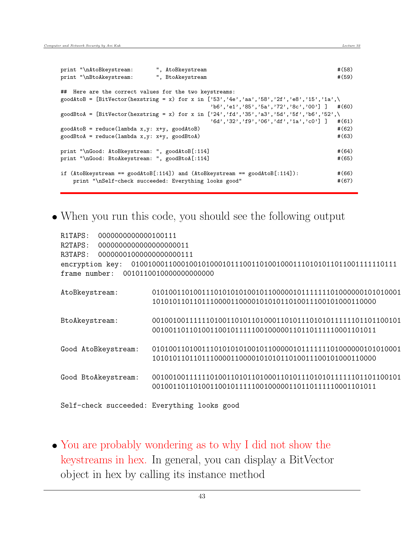```
print "\nAtoBkeystream: ", AtoBkeystream #(58)
print "\nBtoAkeystream: ", BtoAkeystream #(59)
## Here are the correct values for the two keystreams:
goodAtoB = [BitVector(hexstring = x) for x in ['53','4e','aa','58','2f','e8','15','1a',\
                                   'b6','e1','85','5a','72','8c','00'] ] #(60)
goodBtoA = [BitVector(hexstring = x) for x in ['24','fd','35','a3','5d','5f','b6','52',\
                                   '6d','32','f9','06','df','1a','c0'] ] #(61)
\text{goodAtoB} = \text{reduce}(\text{lambda } x, y: x+y, \text{goodAtoB}) \#(62)goodBtoA = reduce(lambda x,y: x+y, goodBtoA) #(63)
print "\nGood: AtoBkeystream: ", goodAtoB[:114] \# (64)print "\nGood: BtoAkeystream: ", goodBtoA[:114] \#(65)if (AtoBkeystream == goodAtoB[:114]) and (AtoBkeystream == goodAtoB[:114]): #(66)print "\nSelf-check succeeded: Everything looks good" \# (67)
```
• When you run this code, you should see the following output

```
R1TAPS: 0000000000000100111
R2TAPS: 0000000000000000000011
R3TAPS: 00000001000000000000111
encryption key: 0100100011000100101000101110011010010001110101011011001111110111
frame number: 0010110010000000000000
AtoBkeystream: 010100110100111010101010010110000010111111101000000101010001
                     101010110110111000011000010101011010011100101000110000
BtoAkeystream: 001001001111110100110101101000110101110101011111101101100101
                     001001101101001100101111100100000110110111110001101011
Good AtoBkeystream: 010100110100111010101010010110000010111111101000000101010001
                     101010110110111000011000010101011010011100101000110000
Good BtoAkeystream: 001001001111110100110101101000110101110101011111101101100101
                     001001101101001100101111100100000110110111110001101011
Self-check succeeded: Everything looks good
```
 You are probably wondering as to why I did not show the keystreams in hex. In general, you can display a BitVector object in hex by calling its instance method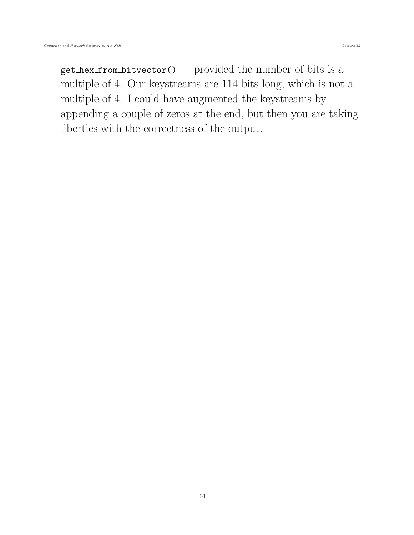$get_{\text{hex\_from\_bitvector()}}$  — provided the number of bits is a multiple of 4. Our keystreams are 114 bits long, which is not a multiple of 4. I could have augmented the keystreams by appending a couple of zeros at the end, but then you are taking liberties with the correctness of the output.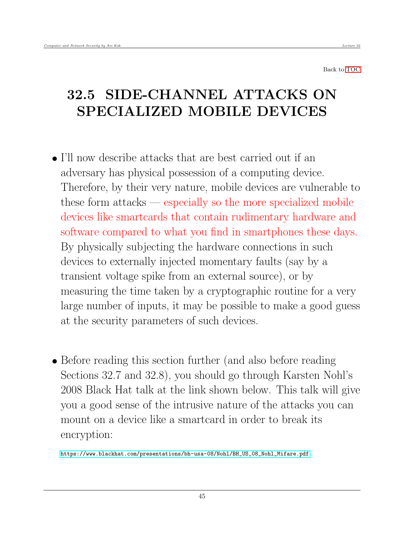## 32.5 SIDE-CHANNEL ATTACKS ON SPECIALIZED MOBILE DEVICES

- I'll now describe attacks that are best carried out if an adversary has physical possession of a computing device. Therefore, by their very nature, mobile devices are vulnerable to these form attacks — especially so the more specialized mobile devices like smartcards that contain rudimentary hardware and software compared to what you find in smartphones these days. By physically subjecting the hardware connections in such devices to externally injected momentary faults (say by a transient voltage spike from an external source), or by measuring the time taken by a cryptographic routine for a very large number of inputs, it may be possible to make a good guess at the security parameters of such devices.
- Before reading this section further (and also before reading Sections 32.7 and 32.8), you should go through Karsten Nohl's 2008 Black Hat talk at the link shown below. This talk will give you a good sense of the intrusive nature of the attacks you can mount on a device like a smartcard in order to break its encryption:

[https://www.blackhat.com/presentations/bh-usa-08/Nohl/BH\\_US\\_08\\_Nohl\\_Mifare.pdf](https://www.blackhat.com/presentations/bh-usa-08/Nohl/BH_US_08_Nohl_Mifare.pdf)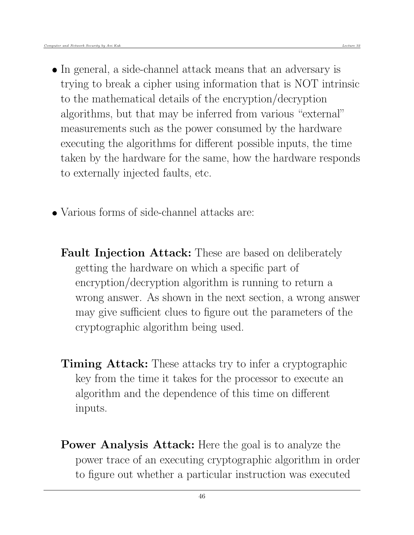- In general, a side-channel attack means that an adversary is trying to break a cipher using information that is NOT intrinsic to the mathematical details of the encryption/decryption algorithms, but that may be inferred from various "external" measurements such as the power consumed by the hardware executing the algorithms for different possible inputs, the time taken by the hardware for the same, how the hardware responds to externally injected faults, etc.
- Various forms of side-channel attacks are:
	- **Fault Injection Attack:** These are based on deliberately getting the hardware on which a specific part of encryption/decryption algorithm is running to return a wrong answer. As shown in the next section, a wrong answer may give sufficient clues to figure out the parameters of the cryptographic algorithm being used.
	- **Timing Attack:** These attacks try to infer a cryptographic key from the time it takes for the processor to execute an algorithm and the dependence of this time on different inputs.
	- Power Analysis Attack: Here the goal is to analyze the power trace of an executing cryptographic algorithm in order to figure out whether a particular instruction was executed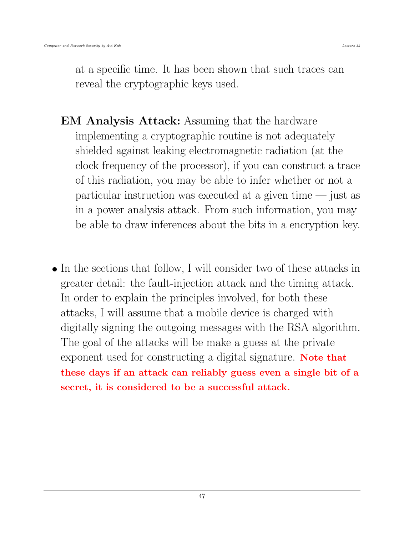at a specific time. It has been shown that such traces can reveal the cryptographic keys used.

- EM Analysis Attack: Assuming that the hardware implementing a cryptographic routine is not adequately shielded against leaking electromagnetic radiation (at the clock frequency of the processor), if you can construct a trace of this radiation, you may be able to infer whether or not a particular instruction was executed at a given time  $-$  just as in a power analysis attack. From such information, you may be able to draw inferences about the bits in a encryption key.
- In the sections that follow, I will consider two of these attacks in greater detail: the fault-injection attack and the timing attack. In order to explain the principles involved, for both these attacks, I will assume that a mobile device is charged with digitally signing the outgoing messages with the RSA algorithm. The goal of the attacks will be make a guess at the private exponent used for constructing a digital signature. Note that these days if an attack can reliably guess even a single bit of a secret, it is considered to be a successful attack.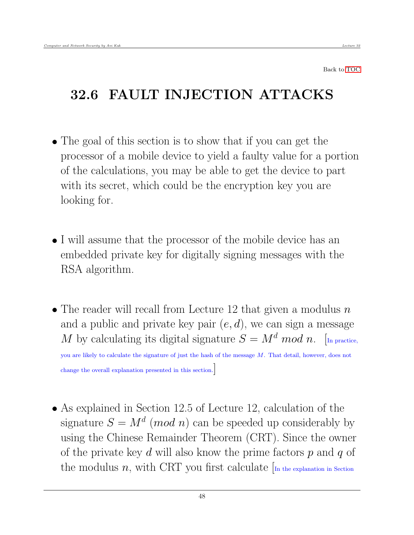# 32.6 FAULT INJECTION ATTACKS

- The goal of this section is to show that if you can get the processor of a mobile device to yield a faulty value for a portion of the calculations, you may be able to get the device to part with its secret, which could be the encryption key you are looking for.
- I will assume that the processor of the mobile device has an embedded private key for digitally signing messages with the RSA algorithm.
- The reader will recall from Lecture 12 that given a modulus  $n$ and a public and private key pair  $(e, d)$ , we can sign a message M by calculating its digital signature  $S = M^d \mod n$ . [In practice, you are likely to calculate the signature of just the hash of the message M. That detail, however, does not change the overall explanation presented in this section.]
- As explained in Section 12.5 of Lecture 12, calculation of the signature  $S = M^d \pmod{n}$  can be speeded up considerably by using the Chinese Remainder Theorem (CRT). Since the owner of the private key d will also know the prime factors  $p$  and  $q$  of the modulus n, with CRT you first calculate  $\lceil_{\text{In the explanation in Section}}\rceil$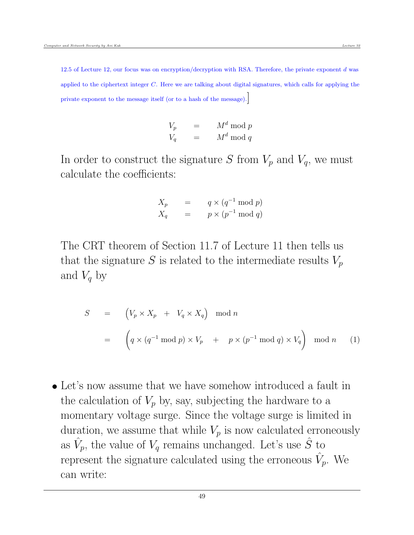12.5 of Lecture 12, our focus was on encryption/decryption with RSA. Therefore, the private exponent d was applied to the ciphertext integer C. Here we are talking about digital signatures, which calls for applying the private exponent to the message itself (or to a hash of the message).

$$
V_p = M^d \mod p
$$
  

$$
V_q = M^d \mod q
$$

In order to construct the signature S from  $V_p$  and  $V_q$ , we must calculate the coefficients:

$$
X_p = q \times (q^{-1} \mod p)
$$
  

$$
X_q = p \times (p^{-1} \mod q)
$$

The CRT theorem of Section 11.7 of Lecture 11 then tells us that the signature S is related to the intermediate results  $V_p$ and  $V_q$  by

$$
S = \left(V_p \times X_p + V_q \times X_q\right) \mod n
$$
  
= 
$$
\left(q \times (q^{-1} \mod p) \times V_p + p \times (p^{-1} \mod q) \times V_q\right) \mod n \quad (1)
$$

 Let's now assume that we have somehow introduced a fault in the calculation of  $V_p$  by, say, subjecting the hardware to a momentary voltage surge. Since the voltage surge is limited in duration, we assume that while  $V_p$  is now calculated erroneously as  $\hat{V}_p$ , the value of  $V_q$  remains unchanged. Let's use  $\hat{S}$  to represent the signature calculated using the erroneous  $\hat{V}_p$ . We can write: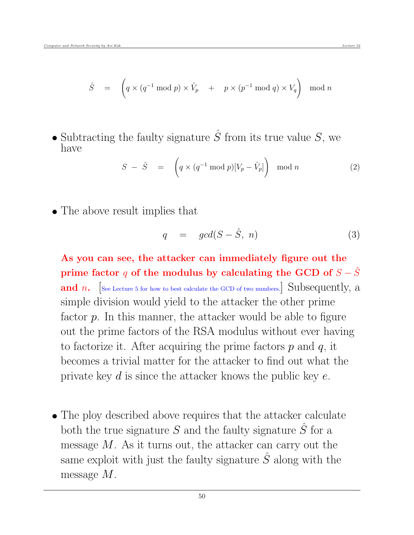$$
\hat{S} = \left( q \times (q^{-1} \bmod p) \times \hat{V}_p + p \times (p^{-1} \bmod q) \times V_q \right) \mod n
$$

• Subtracting the faulty signature  $\hat{S}$  from its true value  $S$ , we have

$$
S - \hat{S} = \left( q \times (q^{-1} \mod p)[V_p - \hat{V}_p] \right) \mod n \tag{2}
$$

• The above result implies that

$$
q = \gcd(S - \hat{S}, n) \tag{3}
$$

As you can see, the attacker can immediately figure out the prime factor q of the modulus by calculating the GCD of  $S - \hat{S}$ **and** n. See Lecture 5 for how to best calculate the GCD of two numbers. Subsequently, a simple division would yield to the attacker the other prime factor p. In this manner, the attacker would be able to figure out the prime factors of the RSA modulus without ever having to factorize it. After acquiring the prime factors  $p$  and  $q$ , it becomes a trivial matter for the attacker to find out what the private key  $d$  is since the attacker knows the public key  $e$ .

• The ploy described above requires that the attacker calculate both the true signature S and the faulty signature  $\hat{S}$  for a message  $M$ . As it turns out, the attacker can carry out the same exploit with just the faulty signature  $\hat{S}$  along with the message M.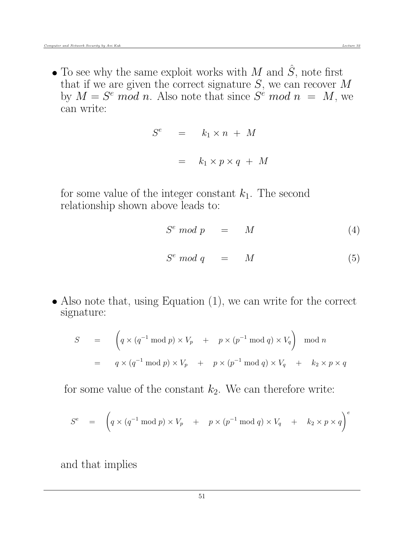• To see why the same exploit works with M and  $\hat{S}$ , note first that if we are given the correct signature  $S$ , we can recover  $M$ by  $M = S^e \mod n$ . Also note that since  $S^e \mod n = M$ , we can write:

$$
Se = k1 × n + M
$$
  
=  $k1 × p × q + M$ 

for some value of the integer constant  $k_1$ . The second relationship shown above leads to:

$$
S^e \mod p \quad = \quad M \tag{4}
$$

$$
S^e \mod q \quad = \quad M \tag{5}
$$

• Also note that, using Equation  $(1)$ , we can write for the correct signature:

$$
S = \left( q \times (q^{-1} \mod p) \times V_p + p \times (p^{-1} \mod q) \times V_q \right) \mod n
$$
  
=  $q \times (q^{-1} \mod p) \times V_p + p \times (p^{-1} \mod q) \times V_q + k_2 \times p \times q$ 

for some value of the constant  $k_2$ . We can therefore write:

$$
S^{e} = \left( q \times (q^{-1} \bmod p) \times V_p + p \times (p^{-1} \bmod q) \times V_q + k_2 \times p \times q \right)^e
$$

and that implies

51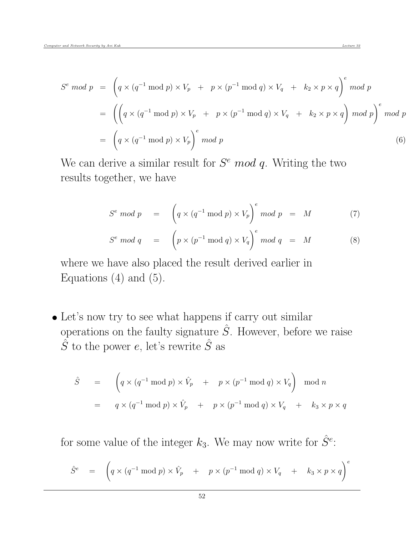$$
S^{e} \mod p = \left( q \times (q^{-1} \mod p) \times V_p + p \times (p^{-1} \mod q) \times V_q + k_2 \times p \times q \right)^{e} \mod p
$$
  
= 
$$
\left( \left( q \times (q^{-1} \mod p) \times V_p + p \times (p^{-1} \mod q) \times V_q + k_2 \times p \times q \right) \mod p \right)^{e} \mod p
$$
  
= 
$$
\left( q \times (q^{-1} \mod p) \times V_p \right)^{e} \mod p
$$
 (6)

We can derive a similar result for  $S^e \mod q$ . Writing the two results together, we have

$$
Se mod p = \left( q \times (q^{-1} mod p) \times V_p \right)^e mod p = M \qquad (7)
$$

$$
Se mod q = \left(p \times (p^{-1} \bmod q) \times V_q\right)^e mod q = M \qquad (8)
$$

where we have also placed the result derived earlier in Equations  $(4)$  and  $(5)$ .

 Let's now try to see what happens if carry out similar operations on the faulty signature  $\hat{S}$ . However, before we raise  $\hat{S}$  to the power e, let's rewrite  $\hat{S}$  as

$$
\hat{S} = \left( q \times (q^{-1} \mod p) \times \hat{V}_p + p \times (p^{-1} \mod q) \times V_q \right) \mod n
$$
  
=  $q \times (q^{-1} \mod p) \times \hat{V}_p + p \times (p^{-1} \mod q) \times V_q + k_3 \times p \times q$ 

for some value of the integer  $k_3$ . We may now write for  $\hat{S}^e$ :

$$
\hat{S}^e = \left( q \times (q^{-1} \bmod p) \times \hat{V}_p + p \times (p^{-1} \bmod q) \times V_q + k_3 \times p \times q \right)^e
$$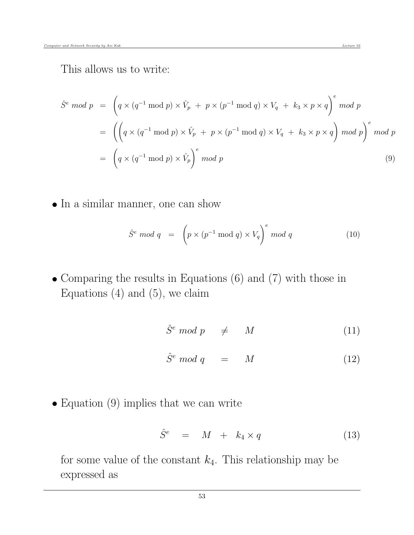This allows us to write:

$$
\hat{S}^e \mod p = \left( q \times (q^{-1} \mod p) \times \hat{V}_p + p \times (p^{-1} \mod q) \times V_q + k_3 \times p \times q \right)^e \mod p
$$
  
= 
$$
\left( \left( q \times (q^{-1} \mod p) \times \hat{V}_p + p \times (p^{-1} \mod q) \times V_q + k_3 \times p \times q \right) \mod p \right)^e \mod p
$$
  
= 
$$
\left( q \times (q^{-1} \mod p) \times \hat{V}_p \right)^e \mod p
$$
 (9)

In a similar manner, one can show

$$
\hat{S}^e \mod q \quad = \quad \left( p \times (p^{-1} \mod q) \times V_q \right)^e \mod q \tag{10}
$$

 Comparing the results in Equations (6) and (7) with those in Equations  $(4)$  and  $(5)$ , we claim

$$
\hat{S}^e \bmod p \quad \neq \quad M \tag{11}
$$

$$
\hat{S}^e \mod q \quad = \quad M \tag{12}
$$

Equation (9) implies that we can write

$$
\hat{S}^e = M + k_4 \times q \tag{13}
$$

for some value of the constant  $k_4$ . This relationship may be expressed as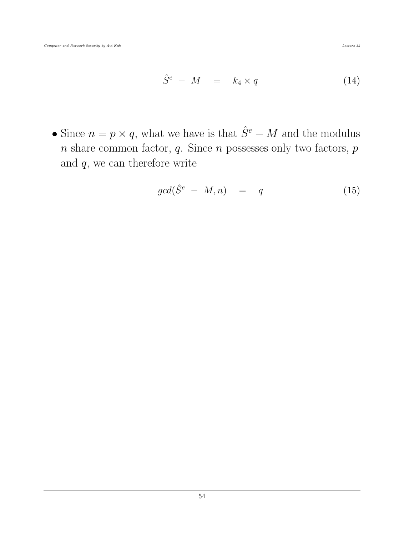$$
\hat{S}^e - M = k_4 \times q \tag{14}
$$

• Since  $n = p \times q$ , what we have is that  $\hat{S}^e - M$  and the modulus  $n$  share common factor,  $q.$  Since  $n$  possesses only two factors,  $p$ and  $q$ , we can therefore write

$$
gcd(\hat{S}^e - M, n) = q \tag{15}
$$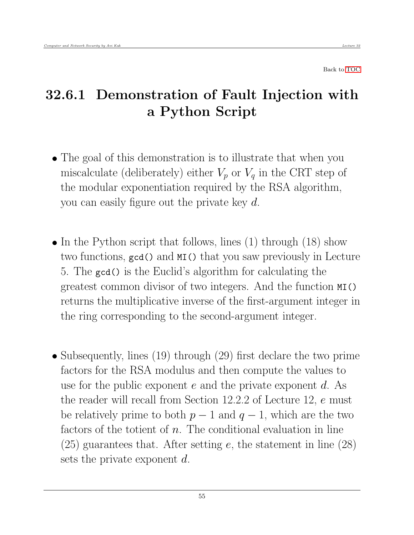## 32.6.1 Demonstration of Fault Injection with a Python Script

- The goal of this demonstration is to illustrate that when you miscalculate (deliberately) either  $V_p$  or  $V_q$  in the CRT step of the modular exponentiation required by the RSA algorithm, you can easily figure out the private key d.
- $\bullet$  In the Python script that follows, lines (1) through (18) show two functions, gcd() and MI() that you saw previously in Lecture 5. The gcd() is the Euclid's algorithm for calculating the greatest common divisor of two integers. And the function MI() returns the multiplicative inverse of the first-argument integer in the ring corresponding to the second-argument integer.
- Subsequently, lines (19) through (29) first declare the two prime factors for the RSA modulus and then compute the values to use for the public exponent  $e$  and the private exponent  $d$ . As the reader will recall from Section 12.2.2 of Lecture 12, e must be relatively prime to both  $p-1$  and  $q-1$ , which are the two factors of the totient of  $n$ . The conditional evaluation in line  $(25)$  guarantees that. After setting e, the statement in line  $(28)$ sets the private exponent d.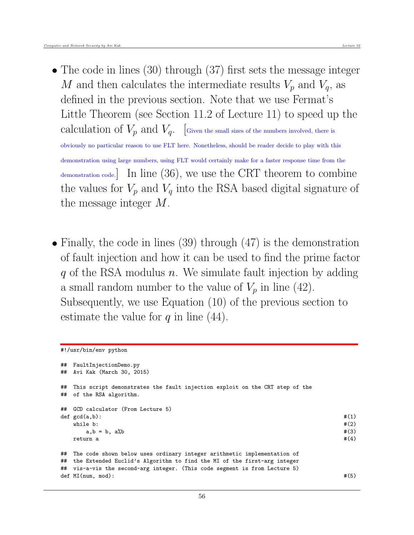- The code in lines (30) through (37) first sets the message integer M and then calculates the intermediate results  $V_p$  and  $V_q$ , as defined in the previous section. Note that we use Fermat's Little Theorem (see Section 11.2 of Lecture 11) to speed up the  ${\rm calculation~of}~V_p~{\rm and}~V_q. ~~~[$ Given the small sizes of the numbers involved, there is obviously no particular reason to use FLT here. Nonetheless, should be reader decide to play with this demonstration using large numbers, using FLT would certainly make for a faster response time from the demonstration code.] In line (36), we use the CRT theorem to combine the values for  $V_p$  and  $V_q$  into the RSA based digital signature of the message integer M.
- Finally, the code in lines  $(39)$  through  $(47)$  is the demonstration of fault injection and how it can be used to find the prime factor q of the RSA modulus  $n$ . We simulate fault injection by adding a small random number to the value of  $V_p$  in line (42). Subsequently, we use Equation (10) of the previous section to estimate the value for  $q$  in line (44).

```
#!/usr/bin/env python
## FaultInjectionDemo.py
## Avi Kak (March 30, 2015)
## This script demonstrates the fault injection exploit on the CRT step of the
## of the RSA algorithm.
## GCD calculator (From Lecture 5)
def gcd(a,b): \#(1)while b: \#(2)a, b = b, a/b #(3)
  return a \#(4)## The code shown below uses ordinary integer arithmetic implementation of
## the Extended Euclid's Algorithm to find the MI of the first-arg integer
## vis-a-vis the second-arg integer. (This code segment is from Lecture 5)
def MI(num, mod): #(5)
```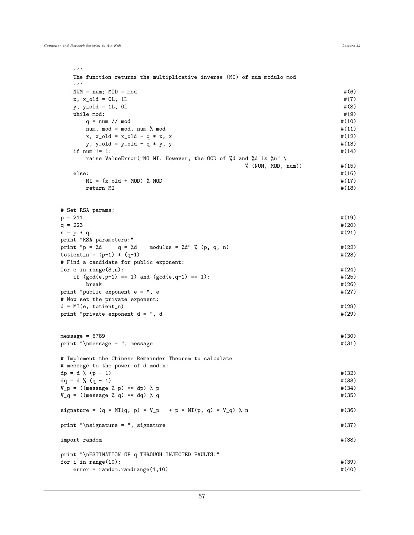```
'''
  The function returns the multiplicative inverse (MI) of num modulo mod
  '''
  NUM = num; MOD = mod \#(6)x, x\_old = 0L, 1L #(7)y, y_0ld = 1L, 0L #(8)while mod: \#(9)q = num / / mod \#(10)num, mod = mod, num % mod \#(11)x, x\_old = x\_old - q * x, x #(12)
   y, y\_old = y\_old - q * y, y #(13)
  if num != 1: \#(14)raise ValueError("NO MI. However, the GCD of %d and %d is %u" \setminus\frac{9}{6} (NUM, MOD, num)) \frac{1}{15}else: #(16)
   MI = (x_{0}01d + MOD) % MOD MOD #(17)return MI \#(18)# Set RSA params:
p = 211 \#(19)q = 223 \#(20)n = p * q #(21)
print "RSA parameters:"
print "p = %d q = %d modulus = %d" % (p, q, n) \#(22)\text{totient\_n} = (p-1) * (q-1) \#(23)# Find a candidate for public exponent:
for e in range(3,n): \#(24)if (gcd(e,p-1) == 1) and (gcd(e,q-1) == 1): #(25)
    break \hphantom{b} #(26)
print "public exponent e = ", e #(27)# Now set the private exponent:
d = MI(e, totient_n) #(28)
print "private exponent d = ", d \qquad \qquad \qquad \qquad \qquad \qquad \qquad \qquad \qquad \qquad \qquad \qquad \qquad \qquad \qquad \qquad \qquad \qquad \qquad \qquad \qquad \qquad \qquad \qquad \qquad \qquad \qquad \qquad \qquad \qquad \qquad \qquad \qquad \qquad \qquad \qquad \qquad \qquad \qquad \qquad \qquad \q\text{message} = 6789 \text{#(30)}print "\nmessage = ", message \#(31)# Implement the Chinese Remainder Theorem to calculate
# message to the power of d mod n:
dp = d \t% (p - 1) #(32)
dq = d \t% (q - 1) #(33)
V_p = ((message % p) ** dp) % p #(34)
V_q = ((message % q) ** dq) % q \#(35)signature = (q * MI(q, p) * V_p + p * MI(p, q) * V_q) % n #(36)
print "\nsignature = ", signature \#(37)import random \#(38)print "\nESTIMATION OF q THROUGH INJECTED FAULTS:"
for i in range(10): \#(39)error = random.random(1,10) \#(40)
```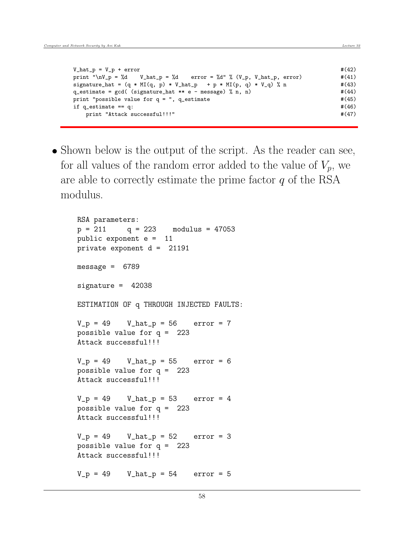```
V_{{\rm \perp}} at p = V_{\rm \perp} p + error \#(42)print "\nV_p = %d V_hat_p = %d error = %d" % (V_p, V_hat_p, error) #(41)
signature_hat = (q * MI(q, p) * V_hat_p + p * MI(p, q) * V_q) % n #(43)
q_estimate = gcd( (signature_hat ** e - message) % n, n) \#(44)print "possible value for q = ", q_estimate \#(45)if q_eestimate == q: \#(46)print "Attack successful!!!" #(47)
```
• Shown below is the output of the script. As the reader can see, for all values of the random error added to the value of  $V_p$ , we are able to correctly estimate the prime factor  $q$  of the RSA modulus.

```
RSA parameters:
p = 211 q = 223 modulus = 47053
public exponent e = 11
private exponent d = 21191
message = 6789
signature = 42038
ESTIMATION OF q THROUGH INJECTED FAULTS:
V_p = 49 V_hat_p = 56 error = 7
possible value for q = 223
Attack successful!!!
V_p = 49 V_hat_p = 55 error = 6
possible value for q = 223
Attack successful!!!
V_p = 49 V_hat_p = 53 error = 4
possible value for q = 223
Attack successful!!!
V_p = 49 V_hat_p = 52 error = 3
possible value for q = 223
Attack successful!!!
V_p = 49 V_hat_p = 54 error = 5
```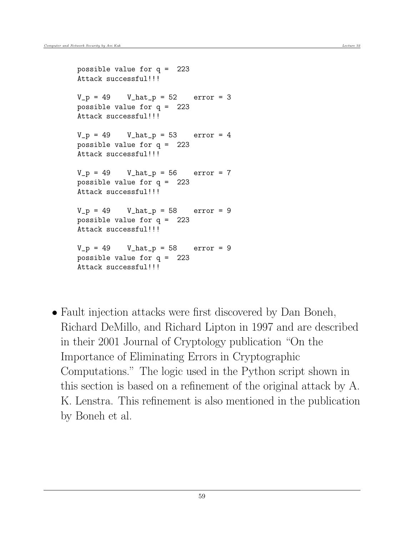```
possible value for q = 223
Attack successful!!!
V_p = 49 V_hat_p = 52 error = 3
possible value for q = 223
Attack successful!!!
V_p = 49 V_hat_p = 53 error = 4
possible value for q = 223
Attack successful!!!
V_p = 49 V_h = 56 error = 7
possible value for q = 223
Attack successful!!!
V_p = 49 V_hat_p = 58 error = 9
possible value for q = 223
Attack successful!!!
V_p = 49 V_hat_p = 58 error = 9
possible value for q = 223
Attack successful!!!
```
 Fault injection attacks were first discovered by Dan Boneh, Richard DeMillo, and Richard Lipton in 1997 and are described in their 2001 Journal of Cryptology publication "On the Importance of Eliminating Errors in Cryptographic Computations." The logic used in the Python script shown in this section is based on a refinement of the original attack by A. K. Lenstra. This refinement is also mentioned in the publication by Boneh et al.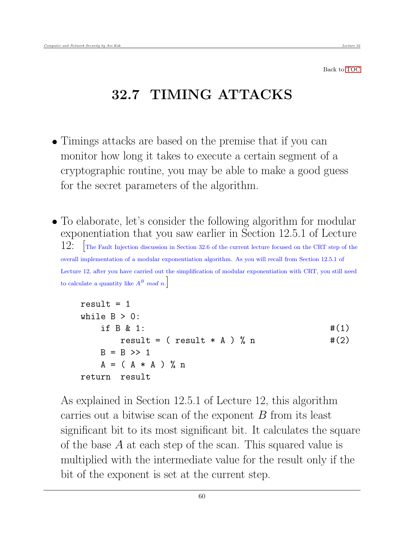## 32.7 TIMING ATTACKS

- Timings attacks are based on the premise that if you can monitor how long it takes to execute a certain segment of a cryptographic routine, you may be able to make a good guess for the secret parameters of the algorithm.
- To elaborate, let's consider the following algorithm for modular exponentiation that you saw earlier in Section 12.5.1 of Lecture 12: The Fault Injection discussion in Section 32.6 of the current lecture focused on the CRT step of the overall implementation of a modular exponentiation algorithm. As you will recall from Section 12.5.1 of Lecture 12, after you have carried out the simplification of modular exponentiation with CRT, you still need to calculate a quantity like  $A^B \mod n$ .

```
result = 1while B > 0:
  if B & 1: \#(1)result = (\text{result} * A) \% n #(2)
  B = B \gg 1A = (A * A) % nreturn result
```
As explained in Section 12.5.1 of Lecture 12, this algorithm carries out a bitwise scan of the exponent  $B$  from its least significant bit to its most significant bit. It calculates the square of the base A at each step of the scan. This squared value is multiplied with the intermediate value for the result only if the bit of the exponent is set at the current step.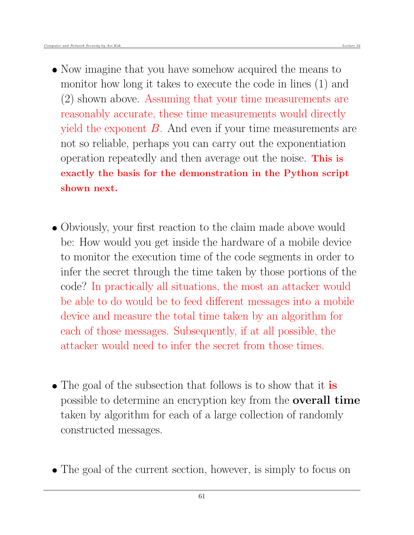- Now imagine that you have somehow acquired the means to monitor how long it takes to execute the code in lines (1) and (2) shown above. Assuming that your time measurements are reasonably accurate, these time measurements would directly yield the exponent  $B$ . And even if your time measurements are not so reliable, perhaps you can carry out the exponentiation operation repeatedly and then average out the noise. This is exactly the basis for the demonstration in the Python script shown next.
- Obviously, your first reaction to the claim made above would be: How would you get inside the hardware of a mobile device to monitor the execution time of the code segments in order to infer the secret through the time taken by those portions of the code? In practically all situations, the most an attacker would be able to do would be to feed different messages into a mobile device and measure the total time taken by an algorithm for each of those messages. Subsequently, if at all possible, the attacker would need to infer the secret from those times.
- The goal of the subsection that follows is to show that it is possible to determine an encryption key from the overall time taken by algorithm for each of a large collection of randomly constructed messages.
- The goal of the current section, however, is simply to focus on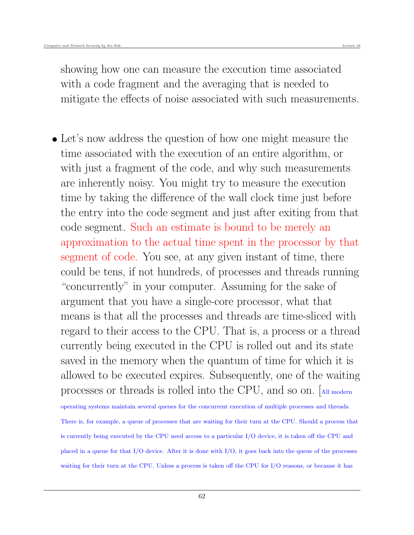showing how one can measure the execution time associated with a code fragment and the averaging that is needed to mitigate the effects of noise associated with such measurements.

 Let's now address the question of how one might measure the time associated with the execution of an entire algorithm, or with just a fragment of the code, and why such measurements are inherently noisy. You might try to measure the execution time by taking the difference of the wall clock time just before the entry into the code segment and just after exiting from that code segment. Such an estimate is bound to be merely an approximation to the actual time spent in the processor by that segment of code. You see, at any given instant of time, there could be tens, if not hundreds, of processes and threads running "concurrently" in your computer. Assuming for the sake of argument that you have a single-core processor, what that means is that all the processes and threads are time-sliced with regard to their access to the CPU. That is, a process or a thread currently being executed in the CPU is rolled out and its state saved in the memory when the quantum of time for which it is allowed to be executed expires. Subsequently, one of the waiting processes or threads is rolled into the CPU, and so on. [All modern

operating systems maintain several queues for the concurrent execution of multiple processes and threads. There is, for example, a queue of processes that are waiting for their turn at the CPU. Should a process that is currently being executed by the CPU need access to a particular I/O device, it is taken off the CPU and placed in a queue for that I/O device. After it is done with I/O, it goes back into the queue of the processes waiting for their turn at the CPU. Unless a process is taken off the CPU for I/O reasons, or because it has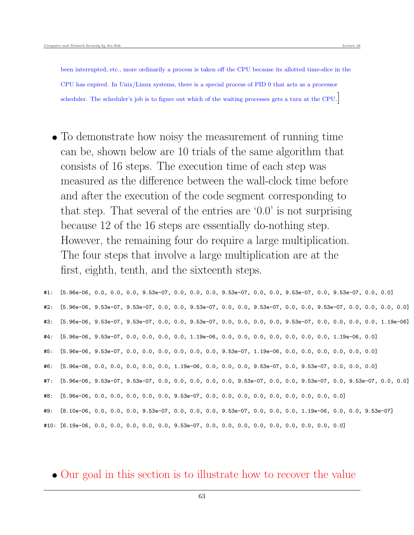been interrupted, etc., more ordinarily a process is taken off the CPU because its allotted time-slice in the CPU has expired. In Unix/Linux systems, there is a special process of PID 0 that acts as a processor scheduler. The scheduler's job is to figure out which of the waiting processes gets a turn at the CPU.]

 To demonstrate how noisy the measurement of running time can be, shown below are 10 trials of the same algorithm that consists of 16 steps. The execution time of each step was measured as the difference between the wall-clock time before and after the execution of the code segment corresponding to that step. That several of the entries are '0.0' is not surprising because 12 of the 16 steps are essentially do-nothing step. However, the remaining four do require a large multiplication. The four steps that involve a large multiplication are at the first, eighth, tenth, and the sixteenth steps.

#1: [5.96e-06, 0.0, 0.0, 0.0, 9.53e-07, 0.0, 0.0, 0.0, 9.53e-07, 0.0, 0.0, 9.53e-07, 0.0, 9.53e-07, 0.0, 0.0] #2: [5.96e-06, 9.53e-07, 9.53e-07, 0.0, 0.0, 9.53e-07, 0.0, 0.0, 9.53e-07, 0.0, 0.0, 9.53e-07, 0.0, 0.0, 0.0, 0.0] #3: [5.96e-06, 9.53e-07, 9.53e-07, 0.0, 0.0, 9.53e-07, 0.0, 0.0, 0.0, 0.0, 9.53e-07, 0.0, 0.0, 0.0, 0.0, 1.19e-06] #4: [5.96e-06, 9.53e-07, 0.0, 0.0, 0.0, 0.0, 1.19e-06, 0.0, 0.0, 0.0, 0.0, 0.0, 0.0, 0.0, 1.19e-06, 0.0] #5: [5.96e-06, 9.53e-07, 0.0, 0.0, 0.0, 0.0, 0.0, 0.0, 9.53e-07, 1.19e-06, 0.0, 0.0, 0.0, 0.0, 0.0, 0.0] #6: [5.96e-06, 0.0, 0.0, 0.0, 0.0, 0.0, 1.19e-06, 0.0, 0.0, 0.0, 9.53e-07, 0.0, 9.53e-07, 0.0, 0.0, 0.0] #7: [5.96e-06, 9.53e-07, 9.53e-07, 0.0, 0.0, 0.0, 0.0, 0.0, 9.53e-07, 0.0, 0.0, 9.53e-07, 0.0, 9.53e-07, 0.0, 0.0] #8: [5.96e-06, 0.0, 0.0, 0.0, 0.0, 0.0, 9.53e-07, 0.0, 0.0, 0.0, 0.0, 0.0, 0.0, 0.0, 0.0, 0.0] #9: [8.10e-06, 0.0, 0.0, 0.0, 9.53e-07, 0.0, 0.0, 0.0, 9.53e-07, 0.0, 0.0, 0.0, 1.19e-06, 0.0, 0.0, 9.53e-07] #10: [6.19e-06, 0.0, 0.0, 0.0, 0.0, 0.0, 9.53e-07, 0.0, 0.0, 0.0, 0.0, 0.0, 0.0, 0.0, 0.0, 0.0]

#### • Our goal in this section is to illustrate how to recover the value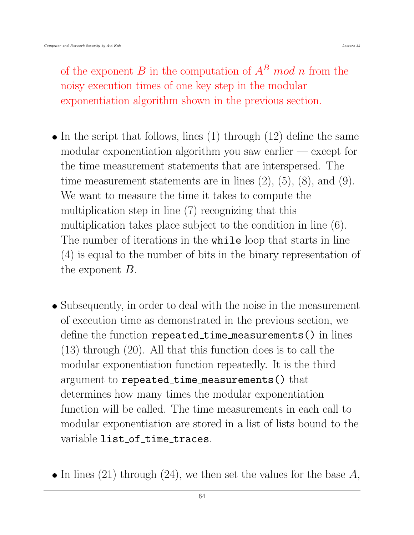of the exponent B in the computation of  $A^B \mod n$  from the noisy execution times of one key step in the modular exponentiation algorithm shown in the previous section.

- $\bullet$  In the script that follows, lines (1) through (12) define the same modular exponentiation algorithm you saw earlier — except for the time measurement statements that are interspersed. The time measurement statements are in lines  $(2)$ ,  $(5)$ ,  $(8)$ , and  $(9)$ . We want to measure the time it takes to compute the multiplication step in line (7) recognizing that this multiplication takes place subject to the condition in line (6). The number of iterations in the **while** loop that starts in line (4) is equal to the number of bits in the binary representation of the exponent  $B$ .
- Subsequently, in order to deal with the noise in the measurement of execution time as demonstrated in the previous section, we define the function repeated time measurements() in lines (13) through (20). All that this function does is to call the modular exponentiation function repeatedly. It is the third argument to repeated time measurements() that determines how many times the modular exponentiation function will be called. The time measurements in each call to modular exponentiation are stored in a list of lists bound to the variable list of time traces.
- In lines (21) through (24), we then set the values for the base  $A$ ,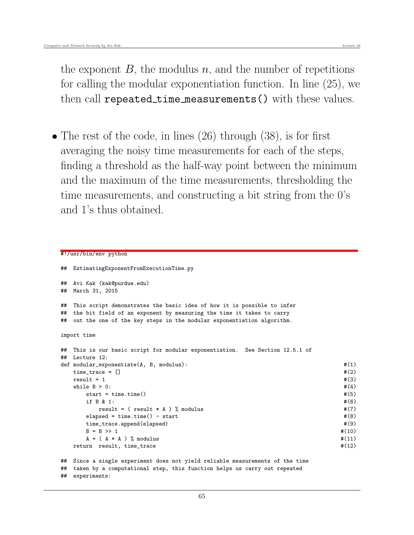the exponent  $B$ , the modulus  $n$ , and the number of repetitions for calling the modular exponentiation function. In line (25), we then call repeated time measurements () with these values.

 $\bullet$  The rest of the code, in lines (26) through (38), is for first averaging the noisy time measurements for each of the steps, finding a threshold as the half-way point between the minimum and the maximum of the time measurements, thresholding the time measurements, and constructing a bit string from the 0's and 1's thus obtained.

#### #!/usr/bin/env python

```
## EstimatingExponentFromExecutionTime.py
## Avi Kak (kak@purdue.edu)
## March 31, 2015
## This script demonstrates the basic idea of how it is possible to infer
## the bit field of an exponent by measuring the time it takes to carry
## out the one of the key steps in the modular exponentiation algorithm.
import time
## This is our basic script for modular exponentiation. See Section 12.5.1 of
## Lecture 12:
def modular_exponentiate(A, B, modulus): \#(1)time\_trace = [] #(2)result = 1 \#(3)while B > 0: \#(4)start = time.time() \#(5)if B & 1: \#(6)result = ( result * A ) % modulus #(7)\text{elapsed} = \text{time.time()} - \text{start} #(8)
    time_trace.append(elapsed) #(9) \#(9)B = B >> 1 #(10)
    A = (A * A) % modulus #(11)
  return result, time_trace \#(12)## Since a single experiment does not yield reliable measurements of the time
## taken by a computational step, this function helps us carry out repeated
```

```
## experiments:
```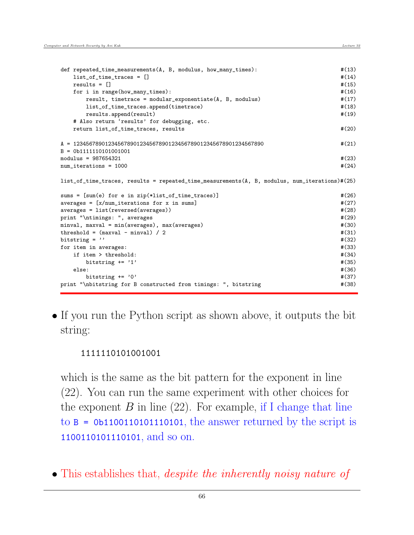```
def repeated_time_measurements(A, B, modulus, how_many_times): #(13)
  list\_of\_time\_traces = [] \#(14)results = \left[\right] \qquad \qquad \qquad \qquad \qquad \qquad \qquad \qquad \qquad \qquad \qquad \qquad \qquad \qquad \qquad \qquad \qquad \qquad \qquad \qquad \qquad \qquad \qquad \qquad \qquad \qquad \qquad \qquad \qquad \qquad \qquad \qquad \qquad \qfor i in range(how_many_times): #(16)
    result, timetrace = modular_exponentiate(A, B, modulus) #(17)
    list_of_time_traces.append(timetrace) #(18)
    results.append(result) #(19)
  # Also return 'results' for debugging, etc.
  return list_of_time_traces, results #(20)
A = 123456789012345678901234567890123456789012345678901234567890 #(21)
B = 0b1111110101001001
modulus = 987654321 \#(23)num_iterations = 1000 \#(24)list_of_time_traces, results = repeated_time_measurements(A, B, modulus, num_iterations)#(25)
sums = [sum(e) for e in zip(*list_of_time_traces)] #(26)average = [x/num\_iterations for x in sums] \#(27)averages = list(reversed(averages)) #(28)
print "\ntimings: ", averages #(29)
minval, maxval = min(averages), max(averages) \#(30){\tt threshold} = {\tt (maxval - minval) / 2} \#(31)bitstring = ' ' \#(32)
for item in averages: \#(33)if item > threshold: #(34)bitstring += '1' \#(35)else: #(36)
    bitstring += '0' * (37)print "\nbitstring for B constructed from timings: ", bitstring \#(38)
```
• If you run the Python script as shown above, it outputs the bit string:

#### 1111110101001001

which is the same as the bit pattern for the exponent in line (22). You can run the same experiment with other choices for the exponent  $B$  in line (22). For example, if I change that line to  $B = 0b1100110101110101$ , the answer returned by the script is 1100110101110101, and so on.

• This establishes that, *despite the inherently noisy nature of*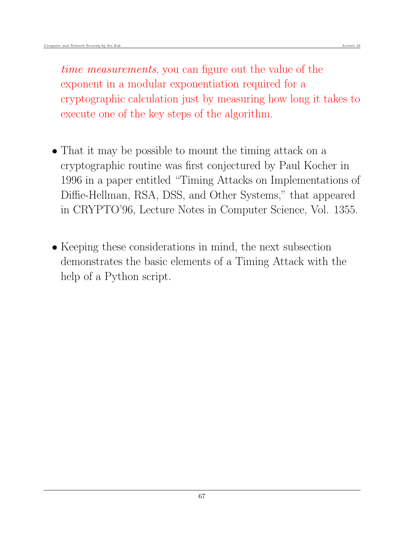time measurements, you can figure out the value of the exponent in a modular exponentiation required for a cryptographic calculation just by measuring how long it takes to execute one of the key steps of the algorithm.

- That it may be possible to mount the timing attack on a cryptographic routine was first conjectured by Paul Kocher in 1996 in a paper entitled "Timing Attacks on Implementations of Diffie-Hellman, RSA, DSS, and Other Systems," that appeared in CRYPTO'96, Lecture Notes in Computer Science, Vol. 1355.
- Keeping these considerations in mind, the next subsection demonstrates the basic elements of a Timing Attack with the help of a Python script.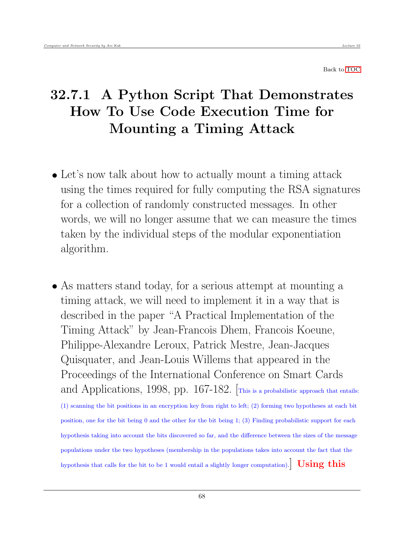# 32.7.1 A Python Script That Demonstrates How To Use Code Execution Time for Mounting a Timing Attack

- Let's now talk about how to actually mount a timing attack using the times required for fully computing the RSA signatures for a collection of randomly constructed messages. In other words, we will no longer assume that we can measure the times taken by the individual steps of the modular exponentiation algorithm.
- As matters stand today, for a serious attempt at mounting a timing attack, we will need to implement it in a way that is described in the paper "A Practical Implementation of the Timing Attack" by Jean-Francois Dhem, Francois Koeune, Philippe-Alexandre Leroux, Patrick Mestre, Jean-Jacques Quisquater, and Jean-Louis Willems that appeared in the Proceedings of the International Conference on Smart Cards and Applications, 1998, pp. 167-182. This is a probabilistic approach that entails: (1) scanning the bit positions in an encryption key from right to left; (2) forming two hypotheses at each bit position, one for the bit being 0 and the other for the bit being 1; (3) Finding probabilistic support for each hypothesis taking into account the bits discovered so far, and the difference between the sizes of the message populations under the two hypotheses (membership in the populations takes into account the fact that the hypothesis that calls for the bit to be 1 would entail a slightly longer computation). Using this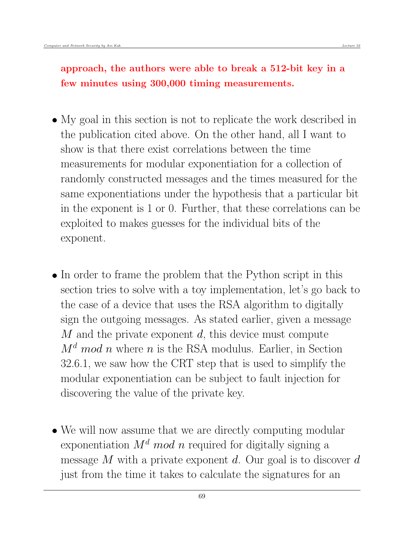- My goal in this section is not to replicate the work described in the publication cited above. On the other hand, all I want to show is that there exist correlations between the time measurements for modular exponentiation for a collection of randomly constructed messages and the times measured for the same exponentiations under the hypothesis that a particular bit in the exponent is 1 or 0. Further, that these correlations can be exploited to makes guesses for the individual bits of the exponent.
- In order to frame the problem that the Python script in this section tries to solve with a toy implementation, let's go back to the case of a device that uses the RSA algorithm to digitally sign the outgoing messages. As stated earlier, given a message  $M$  and the private exponent  $d$ , this device must compute  $M^d$  mod n where n is the RSA modulus. Earlier, in Section 32.6.1, we saw how the CRT step that is used to simplify the modular exponentiation can be subject to fault injection for discovering the value of the private key.
- We will now assume that we are directly computing modular exponentiation  $M^d$  mod n required for digitally signing a message  $M$  with a private exponent  $d$ . Our goal is to discover  $d$ just from the time it takes to calculate the signatures for an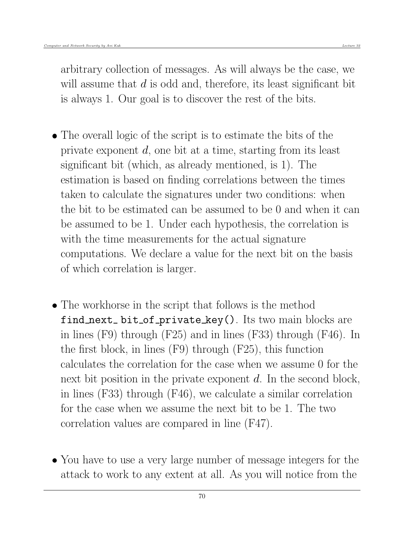arbitrary collection of messages. As will always be the case, we will assume that  $d$  is odd and, therefore, its least significant bit is always 1. Our goal is to discover the rest of the bits.

- The overall logic of the script is to estimate the bits of the private exponent d, one bit at a time, starting from its least significant bit (which, as already mentioned, is 1). The estimation is based on finding correlations between the times taken to calculate the signatures under two conditions: when the bit to be estimated can be assumed to be 0 and when it can be assumed to be 1. Under each hypothesis, the correlation is with the time measurements for the actual signature computations. We declare a value for the next bit on the basis of which correlation is larger.
- The workhorse in the script that follows is the method find next bit of private key(). Its two main blocks are in lines (F9) through (F25) and in lines (F33) through (F46). In the first block, in lines (F9) through (F25), this function calculates the correlation for the case when we assume 0 for the next bit position in the private exponent  $d$ . In the second block, in lines (F33) through (F46), we calculate a similar correlation for the case when we assume the next bit to be 1. The two correlation values are compared in line (F47).
- You have to use a very large number of message integers for the attack to work to any extent at all. As you will notice from the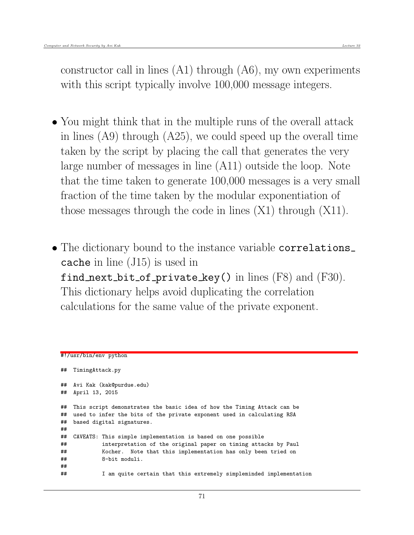- You might think that in the multiple runs of the overall attack in lines (A9) through (A25), we could speed up the overall time taken by the script by placing the call that generates the very large number of messages in line (A11) outside the loop. Note that the time taken to generate 100,000 messages is a very small fraction of the time taken by the modular exponentiation of those messages through the code in lines (X1) through (X11).
- The dictionary bound to the instance variable correlations cache in line (J15) is used in find next bit of private key() in lines  $(F8)$  and  $(F30)$ . This dictionary helps avoid duplicating the correlation calculations for the same value of the private exponent.

```
#!/usr/bin/env python
## TimingAttack.py
## Avi Kak (kak@purdue.edu)
## April 13, 2015
## This script demonstrates the basic idea of how the Timing Attack can be
## used to infer the bits of the private exponent used in calculating RSA
## based digital signatures.
##
## CAVEATS: This simple implementation is based on one possible
## interpretation of the original paper on timing attacks by Paul
## Kocher. Note that this implementation has only been tried on
## 8-bit moduli.
##
## I am quite certain that this extremely simpleminded implementation
```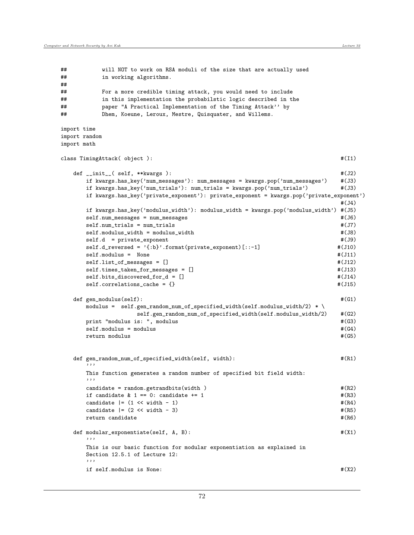```
## will NOT to work on RSA moduli of the size that are actually used
## in working algorithms.
##
## For a more credible timing attack, you would need to include
## in this implementation the probabilstic logic described in the
## paper "A Practical Implementation of the Timing Attack'' by
## Dhem, Koeune, Leroux, Mestre, Quisquater, and Willems.
import time
import random
import math
class TimingAttack( object ): #(I1)
  def \text{__init}\text{__} ( self, **kwargs ):
    if kwargs.has_key('num_messages'): num_messages = kwargs.pop('num_messages') #(J3)
    if kwargs.has_key('num_trials'): num_trials = kwargs.pop('num_trials') #(J3)
    if kwargs.has_key('private_exponent'): private_exponent = kwargs.pop('private_exponent')
                                                        #(J4)
    if kwargs.has_key('modulus_width'): modulus_width = kwargs.pop('modulus_width') #(J5)
    self.num_messages = num_messages #(J6)
    self.num_trials = num_trials #(J7)
    self.modulus\_width = modulus\_widthself.d = private_exponent \#(J9)
    self.d\_reversed = '{}':b}'.format(private\_exponent)[::-1] #(J10)
    self.modulus = None \#(J11)self.list_of_messages = [] \#(J12)self.times_taken_for_messages = [] \#(J13)self.bits\_discovered_for_d = [] \#(J14)self.correlations_cache = {} \#(J15)
  def gen_modulus(self): \#(G1)modulus = self.gen_random_num_of_specified_width(self.modulus_width/2) * \
               self.gen_random_num_of_specified_width(self.modulus_width/2) #(G2)
    print "modulus is: ", modulus \#(G3)self.modulus = modulus \#(G4)return modulus \#(G5)def gen_random_num_of_specified_width(self, width): \#(R1)'''
    This function generates a random number of specified bit field width:
     '''
    candidate = random.getrandbits(width ) #(R2)
    if candidate \& 1 == 0: candidate += 1 \qquad \qquad \#(R3)candidate | = (1 \lt \lt width - 1) #(R4)
     candidate | = (2 \lt \lt; \text{width} - 3) \#(R5)return candidate \#(R6)def modular_exponentiate(self, A, B): \#(X1)'''
    This is our basic function for modular exponentiation as explained in
    Section 12.5.1 of Lecture 12:
     '''
    if self.modulus is None: #(X2)
```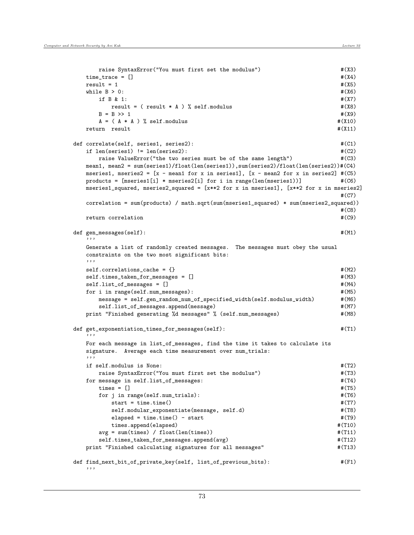```
raise SyntaxError("You must first set the modulus") \#(X3)time\_trace = [] \#(X4)result = 1 \#(X5)while B > 0: \#(X6)if B & 1: \#(X7)result = ( result * A ) % self.modulus \#(X8)B = B >> 1 #(X9)
     A = (A * A) % self.modulus #(X10)
  return result \#(X11)def correlate(self, series1, series2): \#(C1)if len(series1) != len(series2): \#(C2)raise ValueError("the two series must be of the same length") \#(C3)mean1, mean2 = sum(series1)/float(len(series1)),sum(series2)/float(len(series2))#(C4)
  mseries1, mseries2 = [x - \text{mean1} \text{ for } x \text{ in series1}], [x - \text{mean2} \text{ for } x \text{ in series2}] #(C5)
  products = [mseries1[i] * mseries2[i] for i in range(len(mseries1))] #(C6)mseries1_squared, mseries2_squared = [x**2 for x in mseries1], [x**2 for x in mseries2]
                                                         #(C7)
  correlation = sum(products) / math.sqrt(sum(mseries1_squared) * sum(mseries2_squared))
                                                         #(C8)
  return correlation \#(\mathbb{C}9)def gen_messages(self): #(M1)
  '''
  Generate a list of randomly created messages. The messages must obey the usual
  constraints on the two most significant bits:
  '''
  self.correlations_cache = {} #(M2)self.times_taken_for_messages = [] \# (M3)self.list_of_messages = [] \#(M4)for i in range(self.num_messages): #(M5)
     message = self.gen_random_num_of_specified_width(self.modulus_width) #(M6)
     self.list_of_messages.append(message) #(M7)
  print "Finished generating %d messages" % (self.num_messages) #(M8)
def get_exponentiation_times_for_messages(self): \#(T1)'''
  For each message in list_of_messages, find the time it takes to calculate its
  signature. Average each time measurement over num_trials:
  '''
  if self.modulus is None: #(T2)
     raise SyntaxError("You must first set the modulus") \#(T3)for message in self.list_of_messages: #(T4)
     \times times = \left[\right] \qquad \qquad \qquad \qquad \qquad \qquad \qquad \qquad \qquad \qquad \qquad \qquad \qquad \qquad \qquad \qquad \qquad \qquad \qquad \qquad \qquad \qquad \qquad \qquad \qquad \qquad \qquad \qquad \qquad \qquad \qquad \qquad \qquad \for j in range(self.num_trials): \#(T6)start = time.time() #(T7)
        self.modular_exponentiate(message, self.d) \#(T8)elapped = time.time() - start #(T9)times.append(elapsed) #(T10)
     \arg = \text{sum}(\text{times}) / \text{float}(\text{len}(\text{times})) #(T11)
     self.times_taken_for_messages.append(avg) \#(T12)
  print "Finished calculating signatures for all messages" \#(T13)
def find_next_bit_of_private_key(self, list_of_previous_bits): #(F1)
  '''
```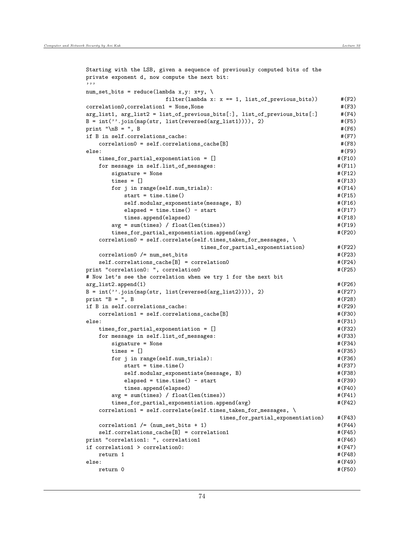```
Starting with the LSB, given a sequence of previously computed bits of the
private exponent d, now compute the next bit:
'''
num\_set\_bits = reduce(lambda x, y: x+y, \ \ \ranglefilter(lambda x: x == 1, list_of_previous_bits)) #(F2)correlation0,correlation1 = None,None #(F3)
arg_list1, arg_list2 = list_of_previous_bits[:], list_of_previous_bits[:] #(F4)
B = int(''.join(map(str, list(reversed(arg_list1)))), 2) #(F5)
print "\n\in \mathbb{B} \#(F6)if B in self.correlations_cache: #(F7)
  correlation0 = self.correlations_cache[B] \#(F8)else: #(F9)
  times_for_partial_exponentiation = [] \#(F10)for message in self.list_of_messages: #(F11)
     signature = None #(F12)times = \lbrack \qquad \qquad \qquad \qquad \qquad \qquad \qquad \qquad \qquad \qquad \qquad \qquad \qquad \qquad \qquad \qquad \qquad \qquad \qquad \qquad \qquad \qquad \qquad \qquad \qquad \qquad \qquad \qquad \qquad \qquad \qquad \qquad \qquad \qquad \for j in range(self.num_trials): \#(F14)start = time.time() \#(F15)self.modular_exponentiate(message, B) #(F16)
       elapsed = time.time() - start #(F17)times.append(elapsed) #(F18)
     \arg = \text{sum}(\text{times}) / float(len(times)) \text{#(F19)}times_for_partial_exponentiation.append(avg) \#(F20)correlation0 = self.correlate(self.times_taken_for_messages, \
                        times_for_partial_exponentiation) \#(F22)
  correlation0 /= num_set_bits #(F23)
  self.correlations_cache[B] = correlation0 \#(F24)
print "correlation0: ", correlation0 \#(F25)
# Now let's see the correlation when we try 1 for the next bit
arg_list2.append(1) \#(F26)B = int(''.join(map(str, list(reversed(arg_list2)))), 2) #(F27)print B = ", B \#(F28)if B in self.correlations_cache: #(F29)
  correlation1 = self.correlations_cache[B] \#(F30)else: #(F31)
  times_for_partial_exponentiation = [] \#(F32)for message in self.list_of_messages: #(F33)
     signature = None \#(F34)\times times = [] \qquad \qquad \qquad \qquad \qquad \qquad \qquad \qquad \qquad \qquad \qquad \qquad \qquad \qquad \qquad \qquad \qquad \qquad \qquad \qquad \qquad \qquad \qquad \qquad \qquad \qquad \qquad \qquad \qquad \qquad \qquad \qquad \qquad \qquad for j in range(self.num_trials): \#(F36)start = time.time() #(F37)self.modular_exponentiate(message, B) #(F38)
        \text{elapsed} = \text{time.time()} - \text{start} #(F39)
        times.append(elapsed) #(F40)
     \arg = \text{sum}(\text{times}) / \text{float}(\text{len}(\text{times})) \#(F41)times_for_partial_exponentiation.append(avg) \# (F42)correlation1 = self.correlate(self.times_taken_for_messages, \n\times_for_partial_exponentiation) #(F43)
  correlation1 /= (num_set_bits + 1) #(F44)self.correlations_cache[B] = correlation1 \#(F45)
print "correlation1: ", correlation1 #(F46)
if correlation1 > correlation0: \#(F47)
  r return 1 \# (F48)
else: #(F49)
  return 0 \#(F50)
```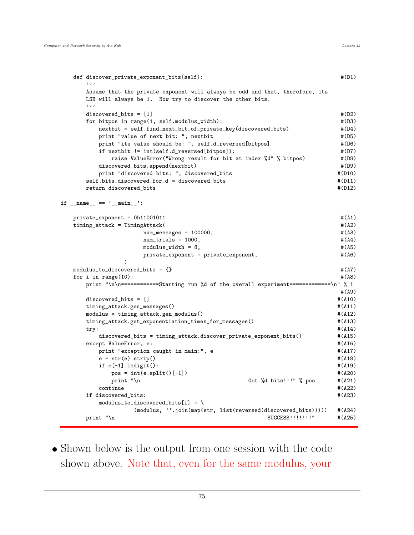```
def discover_private_exponent_bits(self): \#(D1)'''
    Assume that the private exponent will always be odd and that, therefore, its
    LSB will always be 1. Now try to discover the other bits.
    '''
    discovered\_bits = [1] \#(D2)for bitpos in range(1, self.modulus_width): \#(D3)nextbit = self.find_next_bit_of_private_key(discovered_bits) \#(D4)print "value of next bit: ", nextbit \#(D5)print "its value should be: ", self.d_reversed[bitpos] \#(D6)if nextbit != int(self.d_reversed[bitpos]): #(D7)
        raise ValueError("Wrong result for bit at index %d" % bitpos) \#(D8)discovered_bits.append(nextbit) #(D9)
      print "discovered bits: ", discovered_bits \#(D10)self.bits_discovered_for_d = discovered_bits \#(D11)return discovered_bits \#(D12)if __name__ == ' __main__':
  \text{private\_exponent} = 0b11001011 \# (A1)timing_attack = TimingAttack( #(A2)
              num_messages = 100000, #(A3)
              num\_trials = 1000, #(A4)modulus\_width = 8, \#(A5)private_exponent = private_exponent, \#(A6))
  modulus_to_discovered_bits = {} #(A7)
  for i in range(10): \#(A8)print "\n\n============Starting run %d of the overall experiment=============\n" % i
                                                #(A9)
    discovered\_bits = [] \#(A10)timing_attack.gen_messages() #(A11)
    modulus = timing_attack.gen_modulus() #(A12)
    timing_attack.get_exponentiation_times_for_messages() \#(A13)
    \texttt{try}: #(A14)
      discovered_bits = timing_attack.discover_private_exponent_bits() \#(A15)
    except ValueError, e: \#(\text{A16})print "exception caught in main:", e \#(\text{A17})e = str(e).strip() #(A18)
      if e[-1].is digit(): \#(A19)pos = int(e.split()[-1]) #(A20)
        print "\n Got %d bits!!!" % pos #(A21)
      continue #(A22)
    if discovered_bits: \#(\text{A23})modulus_to_discovered_bits[i] = \n\(modulus, ''.join(map(str, list(reversed(discovered_bits))))) #(A24)
    print "\n SUCCESS!!!!!!!" #(A25)
```
• Shown below is the output from one session with the code shown above. Note that, even for the same modulus, your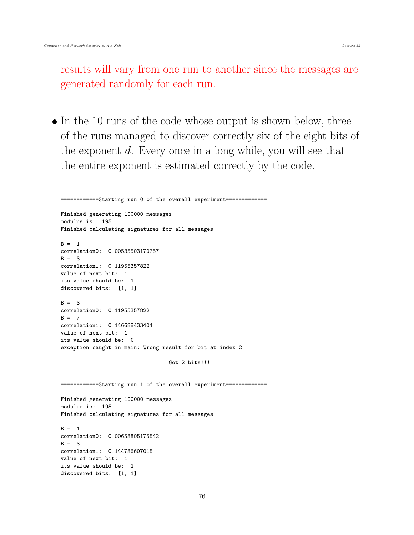results will vary from one run to another since the messages are generated randomly for each run.

• In the 10 runs of the code whose output is shown below, three of the runs managed to discover correctly six of the eight bits of the exponent  $d$ . Every once in a long while, you will see that the entire exponent is estimated correctly by the code.

```
============Starting run 0 of the overall experiment==============
Finished generating 100000 messages
modulus is: 195
Finished calculating signatures for all messages
B = 1correlation0: 0.00535503170757
B = 3correlation1: 0.11955357822
value of next bit: 1
its value should be: 1
discovered bits: [1, 1]
B = 3correlation0: 0.11955357822
B = 7correlation1: 0.146688433404
value of next bit: 1
its value should be: 0
exception caught in main: Wrong result for bit at index 2
                                 Got 2 bits!!!
============Starting run 1 of the overall experiment==============
Finished generating 100000 messages
modulus is: 195
Finished calculating signatures for all messages
B = 1correlation0: 0.00658805175542
B = 3correlation1: 0.144786607015
value of next bit: 1
its value should be: 1
discovered bits: [1, 1]
```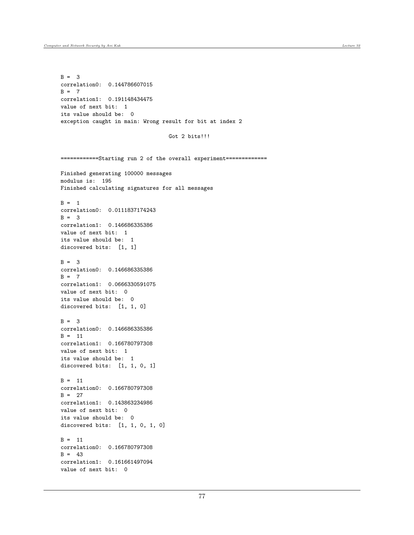$B = 3$ correlation0: 0.144786607015  $B = 7$ correlation1: 0.191148434475 value of next bit: 1 its value should be: 0 exception caught in main: Wrong result for bit at index 2 Got 2 bits!!! ============Starting run 2 of the overall experiment============= Finished generating 100000 messages modulus is: 195 Finished calculating signatures for all messages  $B = 1$ correlation0: 0.0111837174243  $B = 3$ correlation1: 0.146686335386 value of next bit: 1 its value should be: 1 discovered bits: [1, 1]  $B = 3$ correlation0: 0.146686335386  $B = 7$ correlation1: 0.0666330591075 value of next bit: 0 its value should be: 0 discovered bits: [1, 1, 0]  $B = 3$ correlation0: 0.146686335386  $B = 11$ correlation1: 0.166780797308 value of next bit: 1 its value should be: 1 discovered bits: [1, 1, 0, 1]  $B = 11$ correlation0: 0.166780797308  $B = 27$ correlation1: 0.143863234986 value of next bit: 0 its value should be: 0 discovered bits: [1, 1, 0, 1, 0]  $B = 11$ correlation0: 0.166780797308  $B = 43$ correlation1: 0.161661497094 value of next bit: 0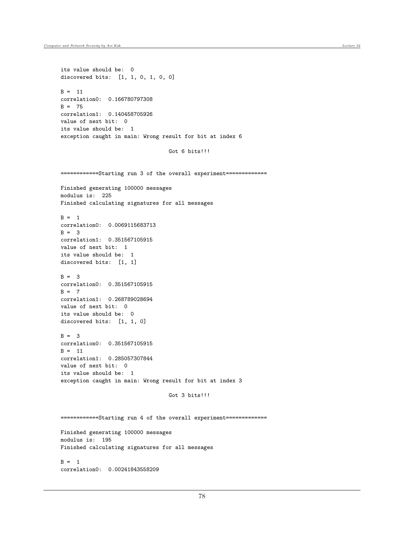its value should be: 0 discovered bits: [1, 1, 0, 1, 0, 0]  $B = 11$ correlation0: 0.166780797308  $B = 75$ correlation1: 0.140458705926 value of next bit: 0 its value should be: 1 exception caught in main: Wrong result for bit at index 6 Got 6 bits!!! ============Starting run 3 of the overall experiment============= Finished generating 100000 messages modulus is: 225 Finished calculating signatures for all messages  $B = 1$ correlation0: 0.0069115683713  $B = 3$ correlation1: 0.351567105915 value of next bit: 1 its value should be: 1 discovered bits: [1, 1]  $B = 3$ correlation0: 0.351567105915  $B = 7$ correlation1: 0.268789028694 value of next bit: 0 its value should be: 0 discovered bits: [1, 1, 0]  $B = 3$ correlation0: 0.351567105915  $B = 11$ correlation1: 0.285057307844 value of next bit: 0 its value should be: 1 exception caught in main: Wrong result for bit at index 3 Got 3 bits!!! ============Starting run 4 of the overall experiment============= Finished generating 100000 messages modulus is: 195 Finished calculating signatures for all messages  $B = 1$ correlation0: 0.00241843558209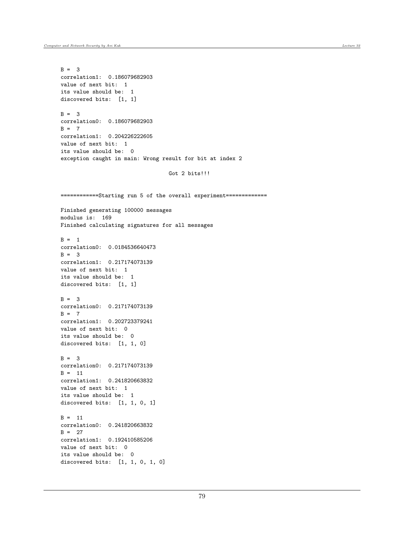$B = 3$ correlation1: 0.186079682903 value of next bit: 1 its value should be: 1 discovered bits: [1, 1]  $B = 3$ correlation0: 0.186079682903  $B = 7$ correlation1: 0.204226222605 value of next bit: 1 its value should be: 0 exception caught in main: Wrong result for bit at index 2 Got 2 bits!!! ============Starting run 5 of the overall experiment============= Finished generating 100000 messages modulus is: 169 Finished calculating signatures for all messages  $B = 1$ correlation0: 0.0184536640473  $B = 3$ correlation1: 0.217174073139 value of next bit: 1 its value should be: 1 discovered bits: [1, 1]  $B = 3$ correlation0: 0.217174073139  $B = 7$ correlation1: 0.202723379241 value of next bit: 0 its value should be: 0 discovered bits: [1, 1, 0]  $B = 3$ correlation0: 0.217174073139  $B = 11$ correlation1: 0.241820663832 value of next bit: 1 its value should be: 1 discovered bits: [1, 1, 0, 1]  $B = 11$ correlation0: 0.241820663832  $B = 27$ correlation1: 0.192410585206 value of next bit: 0 its value should be: 0 discovered bits: [1, 1, 0, 1, 0]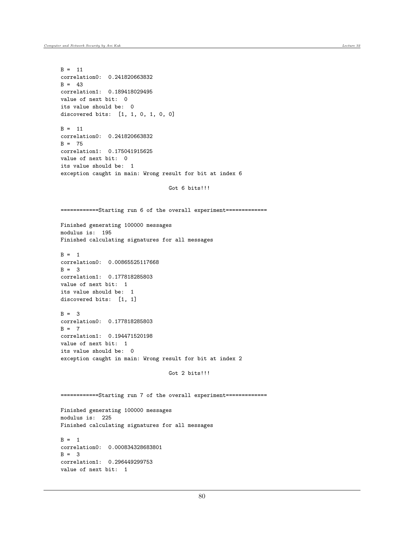$B = 11$ correlation0: 0.241820663832  $B = 43$ correlation1: 0.189418029495 value of next bit: 0 its value should be: 0 discovered bits: [1, 1, 0, 1, 0, 0]  $B = 11$ correlation0: 0.241820663832  $B = 75$ correlation1: 0.175041915625 value of next bit: 0 its value should be: 1 exception caught in main: Wrong result for bit at index 6 Got 6 bits!!! ============Starting run 6 of the overall experiment============= Finished generating 100000 messages modulus is: 195 Finished calculating signatures for all messages  $B = 1$ correlation0: 0.00865525117668  $B = 3$ correlation1: 0.177818285803 value of next bit: 1 its value should be: 1 discovered bits: [1, 1]  $B = 3$ correlation0: 0.177818285803  $B = 7$ correlation1: 0.194471520198 value of next bit: 1 its value should be: 0 exception caught in main: Wrong result for bit at index 2 Got 2 bits!!! ============Starting run 7 of the overall experiment============= Finished generating 100000 messages modulus is: 225 Finished calculating signatures for all messages  $B = 1$ correlation0: 0.000834328683801  $B = 3$ correlation1: 0.296449299753 value of next bit: 1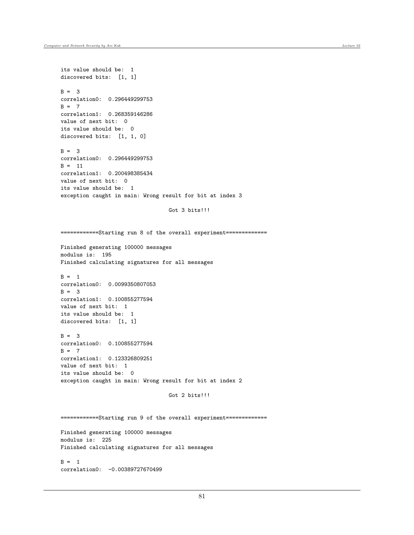```
its value should be: 1
discovered bits: [1, 1]
B = 3correlation0: 0.296449299753
B = 7correlation1: 0.268359146286
value of next bit: 0
its value should be: 0
discovered bits: [1, 1, 0]
B = 3correlation0: 0.296449299753
B = 11correlation1: 0.200498385434
value of next bit: 0
its value should be: 1
exception caught in main: Wrong result for bit at index 3
                                 Got 3 bits!!!
============Starting run 8 of the overall experiment=============
Finished generating 100000 messages
modulus is: 195
Finished calculating signatures for all messages
B = 1correlation0: 0.0099350807053
B = 3correlation1: 0.100855277594
value of next bit: 1
its value should be: 1
discovered bits: [1, 1]
B = 3correlation0: 0.100855277594
B = 7correlation1: 0.123326809251
value of next bit: 1
its value should be: 0
exception caught in main: Wrong result for bit at index 2
                                 Got 2 bits!!!
============Starting run 9 of the overall experiment=============
Finished generating 100000 messages
modulus is: 225
Finished calculating signatures for all messages
B = 1correlation0: -0.00389727670499
```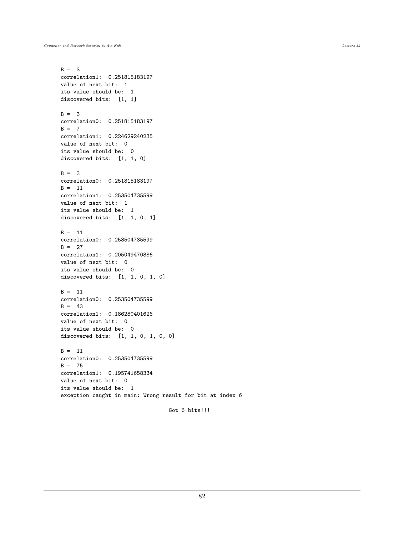```
B = 3correlation1: 0.251815183197
value of next bit: 1
its value should be: 1
discovered bits: [1, 1]
B = 3correlation0: 0.251815183197
B = 7correlation1: 0.224629240235
value of next bit: 0
its value should be: 0
discovered bits: [1, 1, 0]
B = 3correlation0: 0.251815183197
B = 11correlation1: 0.253504735599
value of next bit: 1
its value should be: 1
discovered bits: [1, 1, 0, 1]
B = 11correlation0: 0.253504735599
B = 27correlation1: 0.205049470386
value of next bit: 0
its value should be: 0
discovered bits: [1, 1, 0, 1, 0]
B = 11correlation0: 0.253504735599
B = 43correlation1: 0.186280401626
value of next bit: 0
its value should be: 0
discovered bits: [1, 1, 0, 1, 0, 0]
B = 11correlation0: 0.253504735599
B = 75correlation1: 0.195741658334
value of next bit: 0
its value should be: 1
exception caught in main: Wrong result for bit at index 6
```
#### Got 6 bits!!!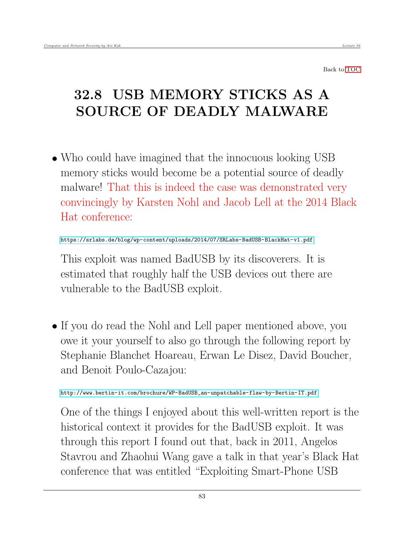Back to [TOC](#page-1-0)

# 32.8 USB MEMORY STICKS AS A SOURCE OF DEADLY MALWARE

• Who could have imagined that the innocuous looking USB memory sticks would become be a potential source of deadly malware! That this is indeed the case was demonstrated very convincingly by Karsten Nohl and Jacob Lell at the 2014 Black Hat conference:

<https://srlabs.de/blog/wp-content/uploads/2014/07/SRLabs-BadUSB-BlackHat-v1.pdf>

This exploit was named BadUSB by its discoverers. It is estimated that roughly half the USB devices out there are vulnerable to the BadUSB exploit.

• If you do read the Nohl and Lell paper mentioned above, you owe it your yourself to also go through the following report by Stephanie Blanchet Hoareau, Erwan Le Disez, David Boucher, and Benoit Poulo-Cazajou:

[http://www.bertin-it.com/brochure/WP-BadUSB\\_an-unpatchable-flaw-by-Bertin-IT.pdf](http://www.bertin-it.com/brochure/WP-BadUSB_an-unpatchable-flaw-by-Bertin-IT.pdf)

One of the things I enjoyed about this well-written report is the historical context it provides for the BadUSB exploit. It was through this report I found out that, back in 2011, Angelos Stavrou and Zhaohui Wang gave a talk in that year's Black Hat conference that was entitled "Exploiting Smart-Phone USB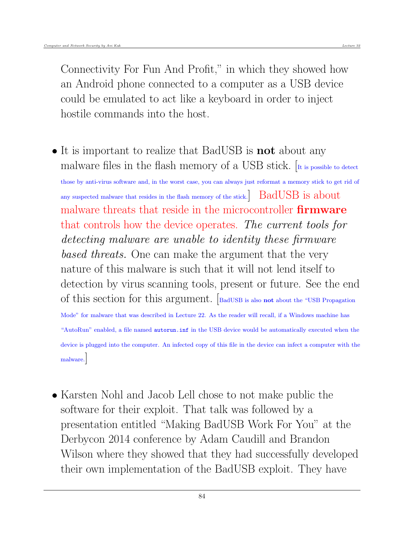Connectivity For Fun And Profit," in which they showed how an Android phone connected to a computer as a USB device could be emulated to act like a keyboard in order to inject hostile commands into the host.

- It is important to realize that BadUSB is **not** about any malware files in the flash memory of a USB stick. It is possible to detect those by anti-virus software and, in the worst case, you can always just reformat a memory stick to get rid of any suspected malware that resides in the flash memory of the stick.  $\vert$  BadUSB is about malware threats that reside in the microcontroller **firmware** that controls how the device operates. The current tools for detecting malware are unable to identity these firmware based threats. One can make the argument that the very nature of this malware is such that it will not lend itself to detection by virus scanning tools, present or future. See the end of this section for this argument. [BadUSB is also not about the "USB Propagation Mode" for malware that was described in Lecture 22. As the reader will recall, if a Windows machine has "AutoRun" enabled, a file named autorun.inf in the USB device would be automatically executed when the device is plugged into the computer. An infected copy of this file in the device can infect a computer with the malware.]
- Karsten Nohl and Jacob Lell chose to not make public the software for their exploit. That talk was followed by a presentation entitled "Making BadUSB Work For You" at the Derbycon 2014 conference by Adam Caudill and Brandon Wilson where they showed that they had successfully developed their own implementation of the BadUSB exploit. They have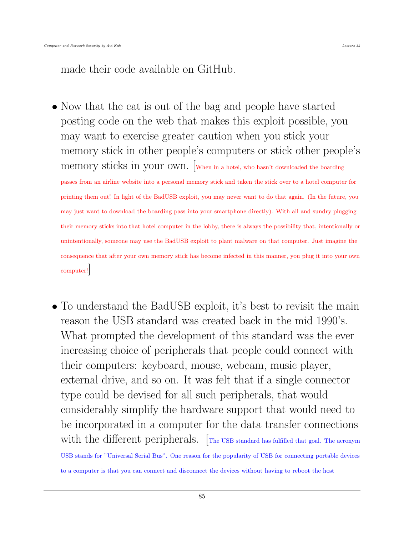made their code available on GitHub.

- Now that the cat is out of the bag and people have started posting code on the web that makes this exploit possible, you may want to exercise greater caution when you stick your memory stick in other people's computers or stick other people's memory sticks in your own. [When in a hotel, who hasn't downloaded the boarding passes from an airline website into a personal memory stick and taken the stick over to a hotel computer for printing them out! In light of the BadUSB exploit, you may never want to do that again. (In the future, you may just want to download the boarding pass into your smartphone directly). With all and sundry plugging their memory sticks into that hotel computer in the lobby, there is always the possibility that, intentionally or unintentionally, someone may use the BadUSB exploit to plant malware on that computer. Just imagine the consequence that after your own memory stick has become infected in this manner, you plug it into your own computer!]
- To understand the BadUSB exploit, it's best to revisit the main reason the USB standard was created back in the mid 1990's. What prompted the development of this standard was the ever increasing choice of peripherals that people could connect with their computers: keyboard, mouse, webcam, music player, external drive, and so on. It was felt that if a single connector type could be devised for all such peripherals, that would considerably simplify the hardware support that would need to be incorporated in a computer for the data transfer connections with the different peripherals.  $\int$ The USB standard has fulfilled that goal. The acronym

USB stands for "Universal Serial Bus". One reason for the popularity of USB for connecting portable devices to a computer is that you can connect and disconnect the devices without having to reboot the host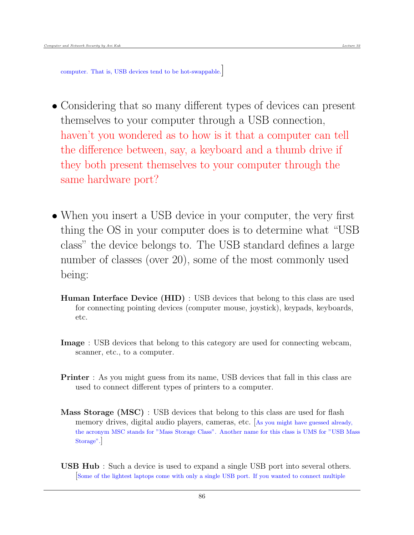computer. That is, USB devices tend to be hot-swappable.]

- Considering that so many different types of devices can present themselves to your computer through a USB connection, haven't you wondered as to how is it that a computer can tell the difference between, say, a keyboard and a thumb drive if they both present themselves to your computer through the same hardware port?
- When you insert a USB device in your computer, the very first thing the OS in your computer does is to determine what "USB class" the device belongs to. The USB standard defines a large number of classes (over 20), some of the most commonly used being:
	- Human Interface Device (HID) : USB devices that belong to this class are used for connecting pointing devices (computer mouse, joystick), keypads, keyboards, etc.
	- Image : USB devices that belong to this category are used for connecting webcam, scanner, etc., to a computer.
	- Printer : As you might guess from its name, USB devices that fall in this class are used to connect different types of printers to a computer.
	- Mass Storage (MSC) : USB devices that belong to this class are used for flash memory drives, digital audio players, cameras, etc. As you might have guessed already, the acronym MSC stands for "Mass Storage Class". Another name for this class is UMS for "USB Mass Storage".]
	- USB Hub : Such a device is used to expand a single USB port into several others. [Some of the lightest laptops come with only a single USB port. If you wanted to connect multiple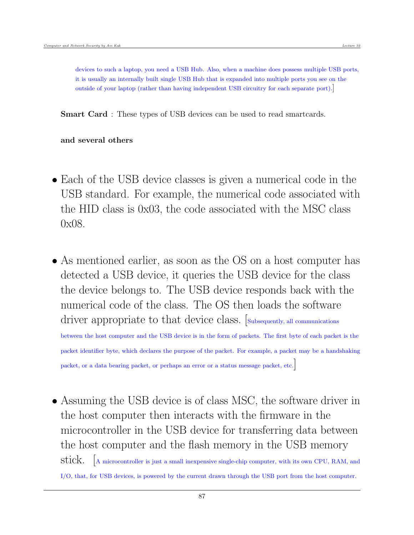devices to such a laptop, you need a USB Hub. Also, when a machine does possess multiple USB ports, it is usually an internally built single USB Hub that is expanded into multiple ports you see on the outside of your laptop (rather than having independent USB circuitry for each separate port).]

Smart Card : These types of USB devices can be used to read smartcards.

### and several others

- Each of the USB device classes is given a numerical code in the USB standard. For example, the numerical code associated with the HID class is 0x03, the code associated with the MSC class 0x08.
- As mentioned earlier, as soon as the OS on a host computer has detected a USB device, it queries the USB device for the class the device belongs to. The USB device responds back with the numerical code of the class. The OS then loads the software driver appropriate to that device class. Subsequently, all communications between the host computer and the USB device is in the form of packets. The first byte of each packet is the packet identifier byte, which declares the purpose of the packet. For example, a packet may be a handshaking

packet, or a data bearing packet, or perhaps an error or a status message packet, etc.]

 Assuming the USB device is of class MSC, the software driver in the host computer then interacts with the firmware in the microcontroller in the USB device for transferring data between the host computer and the flash memory in the USB memory stick. [A microcontroller is just a small inexpensive single-chip computer, with its own CPU, RAM, and I/O, that, for USB devices, is powered by the current drawn through the USB port from the host computer.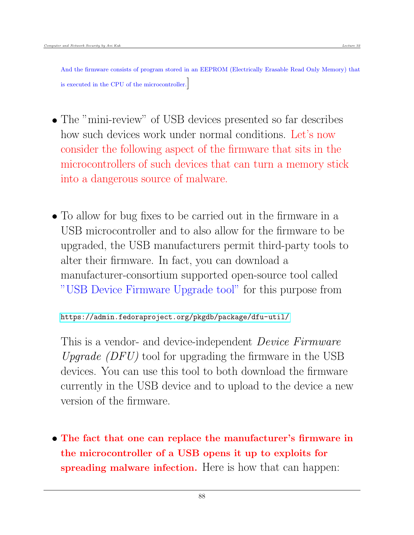And the firmware consists of program stored in an EEPROM (Electrically Erasable Read Only Memory) that is executed in the CPU of the microcontroller.]

- The "mini-review" of USB devices presented so far describes how such devices work under normal conditions. Let's now consider the following aspect of the firmware that sits in the microcontrollers of such devices that can turn a memory stick into a dangerous source of malware.
- To allow for bug fixes to be carried out in the firmware in a USB microcontroller and to also allow for the firmware to be upgraded, the USB manufacturers permit third-party tools to alter their firmware. In fact, you can download a manufacturer-consortium supported open-source tool called "USB Device Firmware Upgrade tool" for this purpose from

<https://admin.fedoraproject.org/pkgdb/package/dfu-util/>

This is a vendor- and device-independent *Device Firmware* Upgrade (DFU) tool for upgrading the firmware in the USB devices. You can use this tool to both download the firmware currently in the USB device and to upload to the device a new version of the firmware.

 The fact that one can replace the manufacturer's firmware in the microcontroller of a USB opens it up to exploits for spreading malware infection. Here is how that can happen: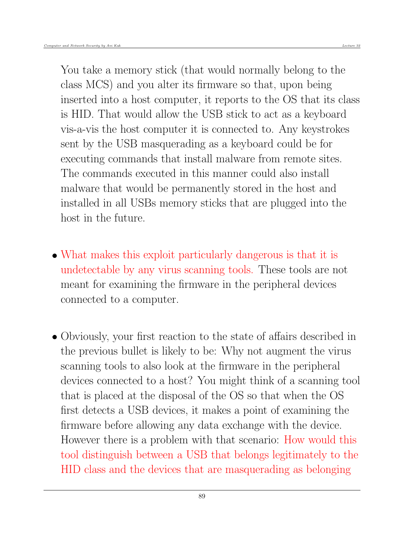You take a memory stick (that would normally belong to the class MCS) and you alter its firmware so that, upon being inserted into a host computer, it reports to the OS that its class is HID. That would allow the USB stick to act as a keyboard vis-a-vis the host computer it is connected to. Any keystrokes sent by the USB masquerading as a keyboard could be for executing commands that install malware from remote sites. The commands executed in this manner could also install malware that would be permanently stored in the host and installed in all USBs memory sticks that are plugged into the host in the future.

- What makes this exploit particularly dangerous is that it is undetectable by any virus scanning tools. These tools are not meant for examining the firmware in the peripheral devices connected to a computer.
- Obviously, your first reaction to the state of affairs described in the previous bullet is likely to be: Why not augment the virus scanning tools to also look at the firmware in the peripheral devices connected to a host? You might think of a scanning tool that is placed at the disposal of the OS so that when the OS first detects a USB devices, it makes a point of examining the firmware before allowing any data exchange with the device. However there is a problem with that scenario: How would this tool distinguish between a USB that belongs legitimately to the HID class and the devices that are masquerading as belonging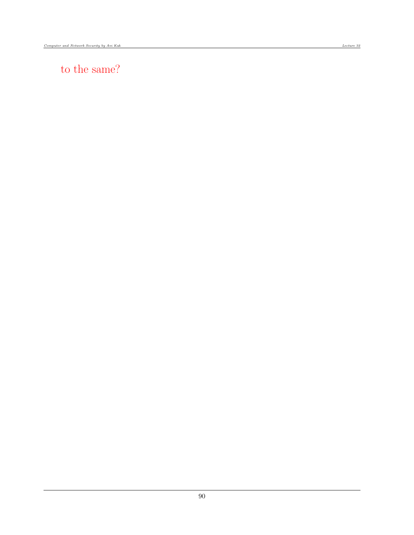### to the same?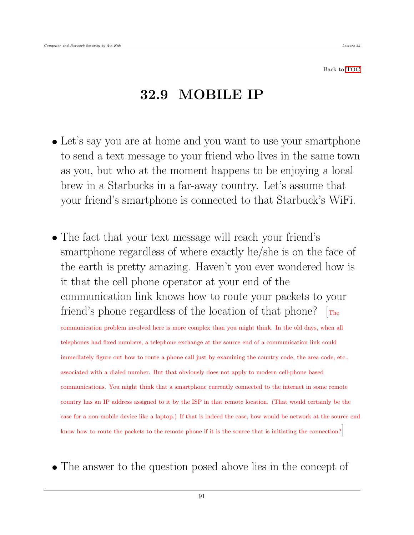Back to [TOC](#page-1-0)

## 32.9 MOBILE IP

- Let's say you are at home and you want to use your smartphone to send a text message to your friend who lives in the same town as you, but who at the moment happens to be enjoying a local brew in a Starbucks in a far-away country. Let's assume that your friend's smartphone is connected to that Starbuck's WiFi.
- The fact that your text message will reach your friend's smartphone regardless of where exactly he/she is on the face of the earth is pretty amazing. Haven't you ever wondered how is it that the cell phone operator at your end of the communication link knows how to route your packets to your friend's phone regardless of the location of that phone?  $\lceil_{\text{The}}\rceil$

communication problem involved here is more complex than you might think. In the old days, when all telephones had fixed numbers, a telephone exchange at the source end of a communication link could immediately figure out how to route a phone call just by examining the country code, the area code, etc., associated with a dialed number. But that obviously does not apply to modern cell-phone based communications. You might think that a smartphone currently connected to the internet in some remote country has an IP address assigned to it by the ISP in that remote location. (That would certainly be the case for a non-mobile device like a laptop.) If that is indeed the case, how would be network at the source end know how to route the packets to the remote phone if it is the source that is initiating the connection?

The answer to the question posed above lies in the concept of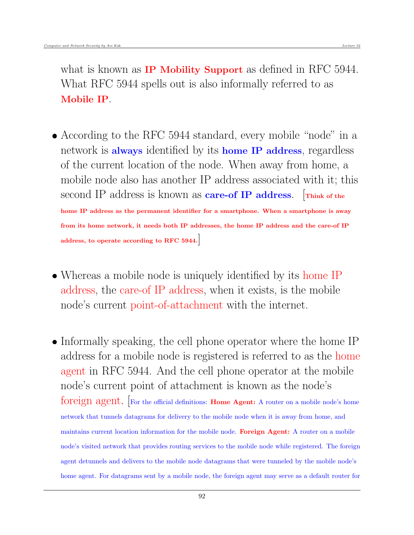what is known as **IP Mobility Support** as defined in RFC 5944. What RFC 5944 spells out is also informally referred to as Mobile IP.

- According to the RFC 5944 standard, every mobile "node" in a network is always identified by its home IP address, regardless of the current location of the node. When away from home, a mobile node also has another IP address associated with it; this second IP address is known as care-of IP address. [Think of the home IP address as the permanent identifier for a smartphone. When a smartphone is away from its home network, it needs both IP addresses, the home IP address and the care-of IP address, to operate according to RFC 5944.]
- Whereas a mobile node is uniquely identified by its home IP address, the care-of IP address, when it exists, is the mobile node's current point-of-attachment with the internet.
- Informally speaking, the cell phone operator where the home IP address for a mobile node is registered is referred to as the home agent in RFC 5944. And the cell phone operator at the mobile node's current point of attachment is known as the node's foreign agent. For the official definitions: **Home Agent:** A router on a mobile node's home network that tunnels datagrams for delivery to the mobile node when it is away from home, and maintains current location information for the mobile node. Foreign Agent: A router on a mobile node's visited network that provides routing services to the mobile node while registered. The foreign agent detunnels and delivers to the mobile node datagrams that were tunneled by the mobile node's home agent. For datagrams sent by a mobile node, the foreign agent may serve as a default router for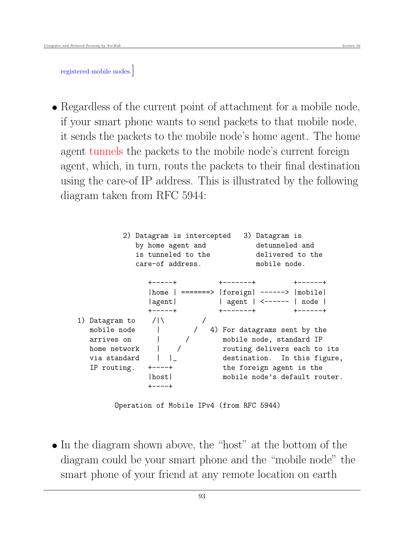registered mobile nodes.]

• Regardless of the current point of attachment for a mobile node, if your smart phone wants to send packets to that mobile node, it sends the packets to the mobile node's home agent. The home agent tunnels the packets to the mobile node's current foreign agent, which, in turn, routs the packets to their final destination using the care-of IP address. This is illustrated by the following diagram taken from RFC 5944:

|                                                                                                    | 2) Datagram is intercepted<br>by home agent and<br>is tunneled to the<br>care-of address. | 3) Datagram is<br>detunneled and<br>mobile node.                                                                                                                                                                                                                                                            | delivered to the |
|----------------------------------------------------------------------------------------------------|-------------------------------------------------------------------------------------------|-------------------------------------------------------------------------------------------------------------------------------------------------------------------------------------------------------------------------------------------------------------------------------------------------------------|------------------|
| 1) Datagram to   / \<br>mobile node  <br>arrives on<br>home network<br>via standard<br>IP routing. | $+ - - - - +$<br> agent <br>$+ - - - - +$<br>$+ - - - +$<br>lhostl                        | +-------+<br>  home $ $ =======> $ $ foreign $ $ ------> $ $ mobile $ $<br>  agent   <------   node  <br>+-------+<br>4) For datagrams sent by the<br>mobile node, standard IP<br>routing delivers each to its<br>destination. In this figure,<br>the foreign agent is the<br>mobile node's default router. | +------+         |

Operation of Mobile IPv4 (from RFC 5944)

• In the diagram shown above, the "host" at the bottom of the diagram could be your smart phone and the "mobile node" the smart phone of your friend at any remote location on earth